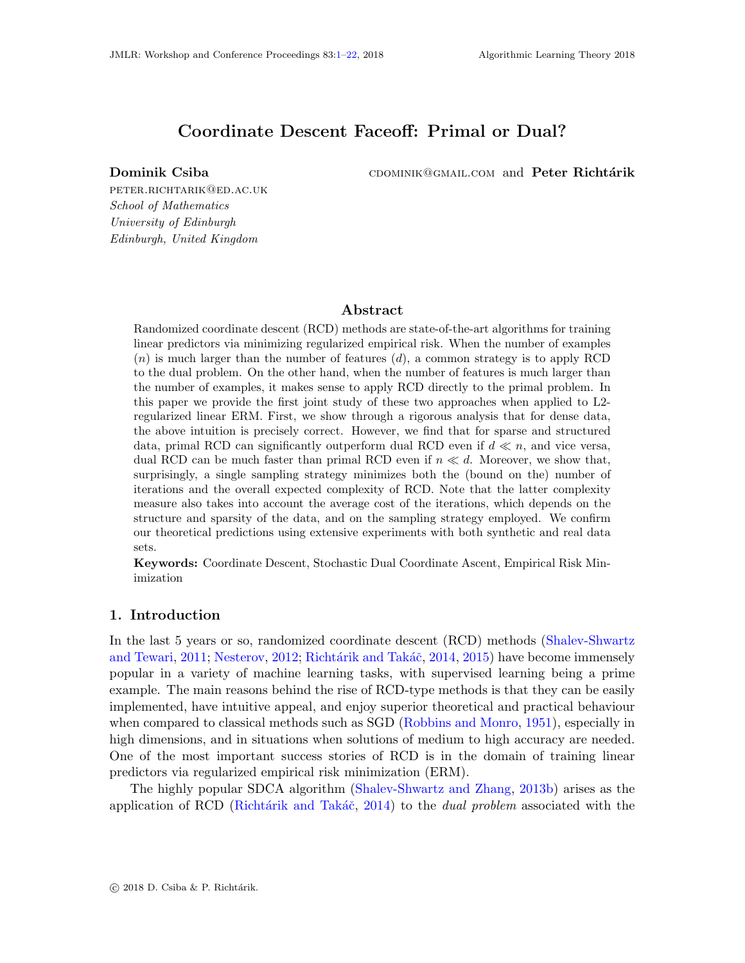# Coordinate Descent Faceoff: Primal or Dual?

<span id="page-0-0"></span>Dominik Csiba **chominik Csiba** cominik@gmail.com and Peter Richtárik

peter.richtarik@ed.ac.uk School of Mathematics University of Edinburgh Edinburgh, United Kingdom

## Abstract

Randomized coordinate descent (RCD) methods are state-of-the-art algorithms for training linear predictors via minimizing regularized empirical risk. When the number of examples  $(n)$  is much larger than the number of features  $(d)$ , a common strategy is to apply RCD to the dual problem. On the other hand, when the number of features is much larger than the number of examples, it makes sense to apply RCD directly to the primal problem. In this paper we provide the first joint study of these two approaches when applied to L2 regularized linear ERM. First, we show through a rigorous analysis that for dense data, the above intuition is precisely correct. However, we find that for sparse and structured data, primal RCD can significantly outperform dual RCD even if  $d \ll n$ , and vice versa, dual RCD can be much faster than primal RCD even if  $n \ll d$ . Moreover, we show that, surprisingly, a single sampling strategy minimizes both the (bound on the) number of iterations and the overall expected complexity of RCD. Note that the latter complexity measure also takes into account the average cost of the iterations, which depends on the structure and sparsity of the data, and on the sampling strategy employed. We confirm our theoretical predictions using extensive experiments with both synthetic and real data sets.

Keywords: Coordinate Descent, Stochastic Dual Coordinate Ascent, Empirical Risk Minimization

### 1. Introduction

In the last 5 years or so, randomized coordinate descent (RCD) methods [\(Shalev-Shwartz](#page-12-0) [and Tewari,](#page-12-0) [2011;](#page-12-0) [Nesterov,](#page-11-0) [2012;](#page-11-0) Richtárik and Takáč, [2014,](#page-12-1) [2015\)](#page-12-2) have become immensely popular in a variety of machine learning tasks, with supervised learning being a prime example. The main reasons behind the rise of RCD-type methods is that they can be easily implemented, have intuitive appeal, and enjoy superior theoretical and practical behaviour when compared to classical methods such as SGD [\(Robbins and Monro,](#page-12-3) [1951\)](#page-12-3), especially in high dimensions, and in situations when solutions of medium to high accuracy are needed. One of the most important success stories of RCD is in the domain of training linear predictors via regularized empirical risk minimization (ERM).

The highly popular SDCA algorithm [\(Shalev-Shwartz and Zhang,](#page-12-4) [2013b\)](#page-12-4) arises as the application of RCD (Richtárik and Takáč, [2014\)](#page-12-1) to the *dual problem* associated with the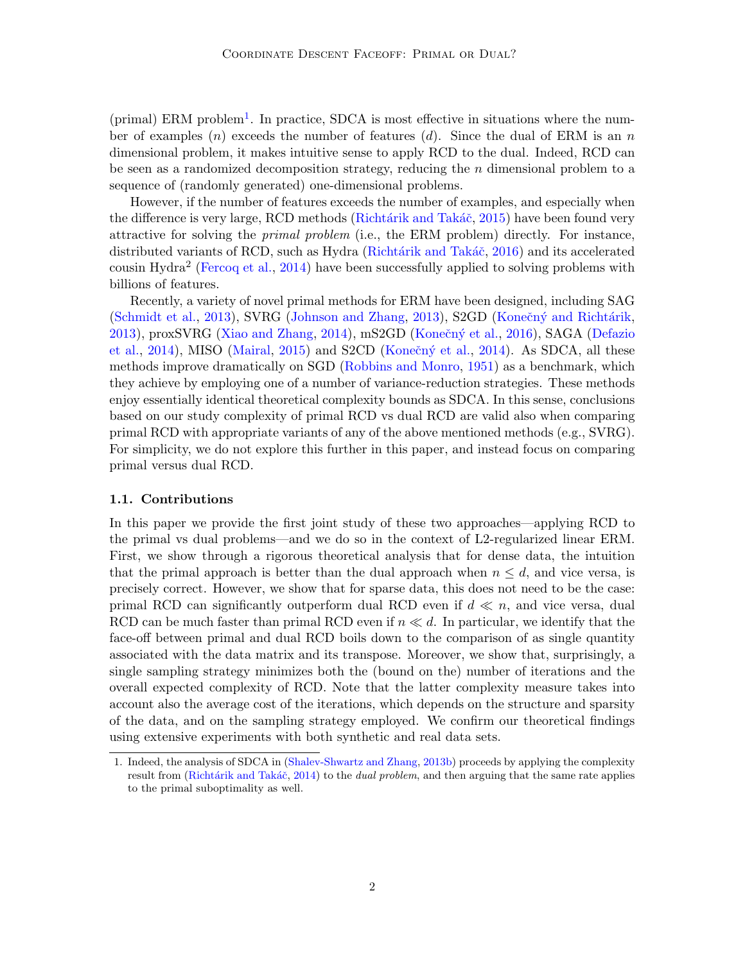(primal) ERM problem<sup>[1](#page-1-0)</sup>. In practice, SDCA is most effective in situations where the number of examples  $(n)$  exceeds the number of features  $(d)$ . Since the dual of ERM is an n dimensional problem, it makes intuitive sense to apply RCD to the dual. Indeed, RCD can be seen as a randomized decomposition strategy, reducing the  $n$  dimensional problem to a sequence of (randomly generated) one-dimensional problems.

However, if the number of features exceeds the number of examples, and especially when the difference is very large, RCD methods (Richtárik and Takáč, [2015\)](#page-12-2) have been found very attractive for solving the primal problem (i.e., the ERM problem) directly. For instance, distributed variants of RCD, such as Hydra (Richtárik and Takáč, [2016\)](#page-12-5) and its accelerated cousin Hydra<sup>2</sup> [\(Fercoq et al.,](#page-11-1) [2014\)](#page-11-1) have been successfully applied to solving problems with billions of features.

Recently, a variety of novel primal methods for ERM have been designed, including SAG [\(Schmidt et al.,](#page-12-6) [2013\)](#page-11-2), SVRG [\(Johnson and Zhang,](#page-11-2) 2013), S2GD (Konečný and Richtárik, [2013\)](#page-11-3), proxSVRG [\(Xiao and Zhang,](#page-12-7) [2014\)](#page-12-7), mS2GD (Konečný et al., [2016\)](#page-11-4), SAGA [\(Defazio](#page-11-5) [et al.,](#page-11-5) [2014\)](#page-11-7), MISO [\(Mairal,](#page-11-6) [2015\)](#page-11-6) and S2CD (Konečný et al., 2014). As SDCA, all these methods improve dramatically on SGD [\(Robbins and Monro,](#page-12-3) [1951\)](#page-12-3) as a benchmark, which they achieve by employing one of a number of variance-reduction strategies. These methods enjoy essentially identical theoretical complexity bounds as SDCA. In this sense, conclusions based on our study complexity of primal RCD vs dual RCD are valid also when comparing primal RCD with appropriate variants of any of the above mentioned methods (e.g., SVRG). For simplicity, we do not explore this further in this paper, and instead focus on comparing primal versus dual RCD.

#### 1.1. Contributions

In this paper we provide the first joint study of these two approaches—applying RCD to the primal vs dual problems—and we do so in the context of L2-regularized linear ERM. First, we show through a rigorous theoretical analysis that for dense data, the intuition that the primal approach is better than the dual approach when  $n \leq d$ , and vice versa, is precisely correct. However, we show that for sparse data, this does not need to be the case: primal RCD can significantly outperform dual RCD even if  $d \ll n$ , and vice versa, dual RCD can be much faster than primal RCD even if  $n \ll d$ . In particular, we identify that the face-off between primal and dual RCD boils down to the comparison of as single quantity associated with the data matrix and its transpose. Moreover, we show that, surprisingly, a single sampling strategy minimizes both the (bound on the) number of iterations and the overall expected complexity of RCD. Note that the latter complexity measure takes into account also the average cost of the iterations, which depends on the structure and sparsity of the data, and on the sampling strategy employed. We confirm our theoretical findings using extensive experiments with both synthetic and real data sets.

<span id="page-1-0"></span><sup>1.</sup> Indeed, the analysis of SDCA in [\(Shalev-Shwartz and Zhang,](#page-12-4) [2013b\)](#page-12-4) proceeds by applying the complexity result from (Richtárik and Takáč, [2014\)](#page-12-1) to the *dual problem*, and then arguing that the same rate applies to the primal suboptimality as well.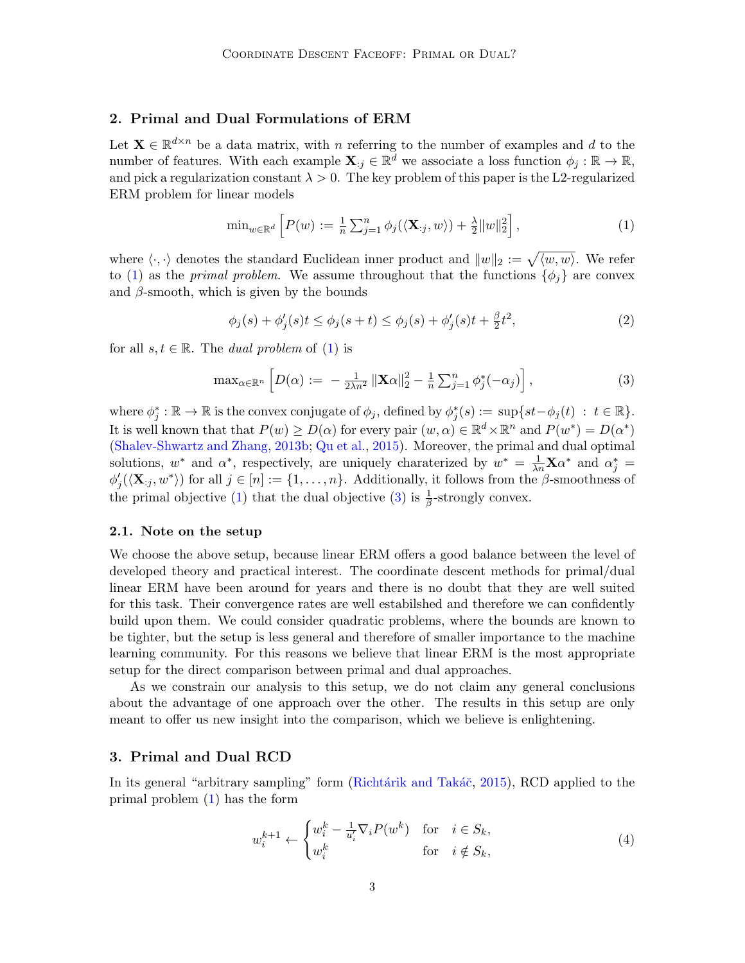## 2. Primal and Dual Formulations of ERM

Let  $\mathbf{X} \in \mathbb{R}^{d \times n}$  be a data matrix, with n referring to the number of examples and d to the number of features. With each example  $\mathbf{X}_{:j} \in \mathbb{R}^d$  we associate a loss function  $\phi_j : \mathbb{R} \to \mathbb{R}$ , and pick a regularization constant  $\lambda > 0$ . The key problem of this paper is the L2-regularized ERM problem for linear models

<span id="page-2-0"></span>
$$
\min_{w \in \mathbb{R}^d} \left[ P(w) := \frac{1}{n} \sum_{j=1}^n \phi_j(\langle \mathbf{X}_{:j}, w \rangle) + \frac{\lambda}{2} ||w||_2^2 \right],\tag{1}
$$

where  $\langle \cdot, \cdot \rangle$  denotes the standard Euclidean inner product and  $||w||_2 := \sqrt{\langle w, w \rangle}$ . We refer to [\(1\)](#page-2-0) as the *primal problem*. We assume throughout that the functions  $\{\phi_i\}$  are convex and  $\beta$ -smooth, which is given by the bounds

<span id="page-2-2"></span>
$$
\phi_j(s) + \phi'_j(s)t \le \phi_j(s+t) \le \phi_j(s) + \phi'_j(s)t + \frac{\beta}{2}t^2,\tag{2}
$$

for all  $s, t \in \mathbb{R}$ . The *dual problem* of [\(1\)](#page-2-0) is

<span id="page-2-1"></span>
$$
\max_{\alpha \in \mathbb{R}^n} \left[ D(\alpha) := -\frac{1}{2\lambda n^2} \left\| \mathbf{X}\alpha \right\|_2^2 - \frac{1}{n} \sum_{j=1}^n \phi_j^*(-\alpha_j) \right],\tag{3}
$$

where  $\phi_j^*: \mathbb{R} \to \mathbb{R}$  is the convex conjugate of  $\phi_j$ , defined by  $\phi_j^*(s) := \sup\{st - \phi_j(t) : t \in \mathbb{R}\}.$ It is well known that that  $P(w) \ge D(\alpha)$  for every pair  $(w, \alpha) \in \mathbb{R}^d \times \mathbb{R}^n$  and  $P(w^*) = D(\alpha^*)$ [\(Shalev-Shwartz and Zhang,](#page-12-4) [2013b;](#page-12-4) [Qu et al.,](#page-11-8) [2015\)](#page-11-8). Moreover, the primal and dual optimal solutions,  $w^*$  and  $\alpha^*$ , respectively, are uniquely charaterized by  $w^* = \frac{1}{\lambda n} \mathbf{X} \alpha^*$  and  $\alpha_j^* =$  $\phi'_j(\langle \mathbf{X}_{:j}, w^* \rangle)$  for all  $j \in [n] := \{1, \ldots, n\}$ . Additionally, it follows from the  $\beta$ -smoothness of the primal objective [\(1\)](#page-2-0) that the dual objective [\(3\)](#page-2-1) is  $\frac{1}{\beta}$ -strongly convex.

#### 2.1. Note on the setup

We choose the above setup, because linear ERM offers a good balance between the level of developed theory and practical interest. The coordinate descent methods for primal/dual linear ERM have been around for years and there is no doubt that they are well suited for this task. Their convergence rates are well estabilshed and therefore we can confidently build upon them. We could consider quadratic problems, where the bounds are known to be tighter, but the setup is less general and therefore of smaller importance to the machine learning community. For this reasons we believe that linear ERM is the most appropriate setup for the direct comparison between primal and dual approaches.

As we constrain our analysis to this setup, we do not claim any general conclusions about the advantage of one approach over the other. The results in this setup are only meant to offer us new insight into the comparison, which we believe is enlightening.

### 3. Primal and Dual RCD

In its general "arbitrary sampling" form (Richtárik and Takáč, [2015\)](#page-12-8), RCD applied to the primal problem [\(1\)](#page-2-0) has the form

$$
w_i^{k+1} \leftarrow \begin{cases} w_i^k - \frac{1}{u_i'} \nabla_i P(w^k) & \text{for} \quad i \in S_k, \\ w_i^k & \text{for} \quad i \notin S_k, \end{cases} \tag{4}
$$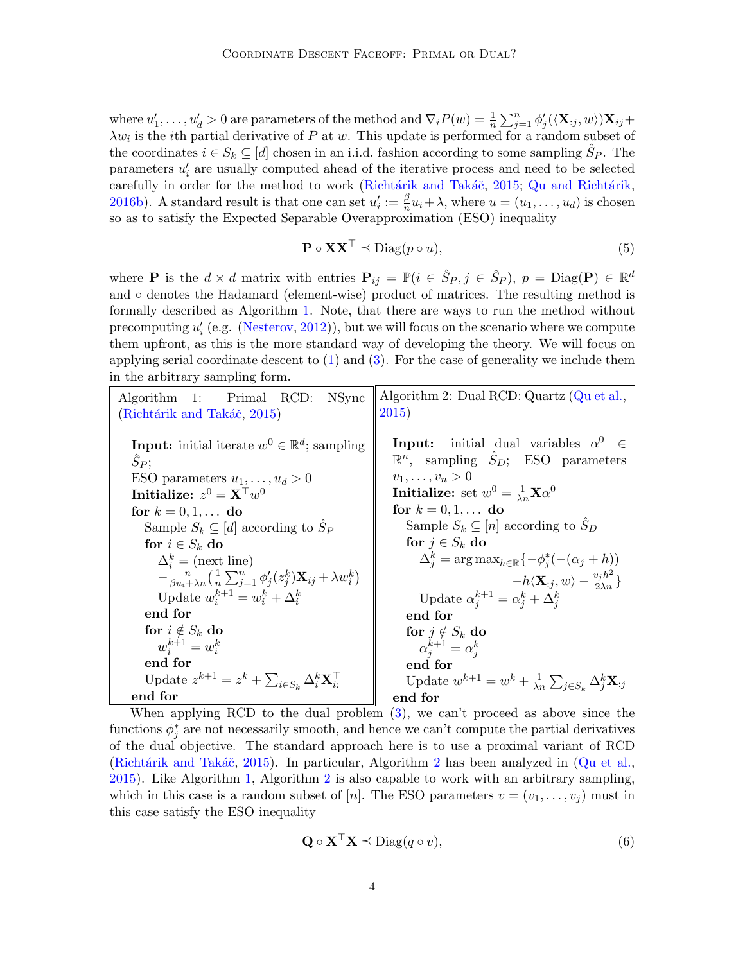where  $u'_1, \ldots, u'_d > 0$  are parameters of the method and  $\nabla_i P(w) = \frac{1}{n} \sum_{j=1}^n \phi'_j(\langle \mathbf{X}_{:j}, w \rangle) \mathbf{X}_{ij} +$  $\lambda w_i$  is the *i*th partial derivative of P at w. This update is performed for a random subset of the coordinates  $i \in S_k \subseteq [d]$  chosen in an i.i.d. fashion according to some sampling  $\hat{S}_P$ . The parameters  $u_i'$  are usually computed ahead of the iterative process and need to be selected carefully in order for the method to work (Richtárik and Takáč, [2015;](#page-12-8) Qu and Richtárik, [2016b\)](#page-11-9). A standard result is that one can set  $u_i' := \frac{\beta}{n}$  $\frac{\beta}{n}u_i + \lambda$ , where  $u = (u_1, \ldots, u_d)$  is chosen so as to satisfy the Expected Separable Overapproximation (ESO) inequality

<span id="page-3-2"></span><span id="page-3-1"></span>
$$
\mathbf{P} \circ \mathbf{XX}^{\top} \preceq \text{Diag}(p \circ u),\tag{5}
$$

where **P** is the  $d \times d$  matrix with entries  $P_{ij} = \mathbb{P}(i \in \hat{S}_P, j \in \hat{S}_P)$ ,  $p = \text{Diag}(\mathbf{P}) \in \mathbb{R}^d$ and ◦ denotes the Hadamard (element-wise) product of matrices. The resulting method is formally described as Algorithm [1.](#page-3-0) Note, that there are ways to run the method without precomputing  $u'_{i}$  (e.g. [\(Nesterov,](#page-11-0) [2012\)](#page-11-0)), but we will focus on the scenario where we compute them upfront, as this is the more standard way of developing the theory. We will focus on applying serial coordinate descent to  $(1)$  and  $(3)$ . For the case of generality we include them in the arbitrary sampling form.

<span id="page-3-0"></span>

| 1: Primal RCD:<br>NSync<br><b>Algorithm</b>                                                        | Algorithm 2: Dual RCD: Quartz (Qu et al.,<br>2015)                                                      |  |  |  |  |  |
|----------------------------------------------------------------------------------------------------|---------------------------------------------------------------------------------------------------------|--|--|--|--|--|
| (Richtárik and Takáč, 2015)                                                                        |                                                                                                         |  |  |  |  |  |
| <b>Input:</b> initial iterate $w^0 \in \mathbb{R}^d$ ; sampling                                    | <b>Input:</b> initial dual variables $\alpha^0 \in$<br>$\mathbb{R}^n$ , sampling $S_D$ ; ESO parameters |  |  |  |  |  |
| Sp;                                                                                                |                                                                                                         |  |  |  |  |  |
| ESO parameters $u_1, \ldots, u_d > 0$                                                              | $v_1, \ldots, v_n > 0$                                                                                  |  |  |  |  |  |
| Initialize: $z^0 = \mathbf{X}^\top w^0$                                                            | Initialize: set $w^0 = \frac{1}{\lambda_n} \mathbf{X} \alpha^0$                                         |  |  |  |  |  |
| for $k = 0, 1, $ do                                                                                | for $k = 0, 1, $ do                                                                                     |  |  |  |  |  |
| Sample $S_k \subseteq [d]$ according to $S_P$                                                      | Sample $S_k \subseteq [n]$ according to $S_D$                                                           |  |  |  |  |  |
| for $i \in S_k$ do                                                                                 | for $j \in S_k$ do                                                                                      |  |  |  |  |  |
| $\Delta_i^k$ = (next line)                                                                         | $\Delta_i^k = \arg \max_{h \in \mathbb{R}} \{-\phi_j^*(-(\alpha_j + h))\}$                              |  |  |  |  |  |
| $-\frac{n}{\beta u+\lambda n}(\frac{1}{n}\sum_{i=1}^n\phi'_i(z_i^k)\mathbf{X}_{ij}+\lambda w_i^k)$ | $-h\langle \mathbf{X}_{:j},w\rangle-\frac{v_jh^2}{2\lambda n}\}$                                        |  |  |  |  |  |
| Update $w_i^{k+1} = w_i^k + \Delta_i^k$                                                            | Update $\alpha_i^{k+1} = \alpha_i^k + \Delta_i^k$                                                       |  |  |  |  |  |
| end for                                                                                            | end for                                                                                                 |  |  |  |  |  |
| for $i \notin S_k$ do                                                                              | for $j \notin S_k$ do                                                                                   |  |  |  |  |  |
| $w_i^{k+1} = w_i^k$                                                                                | $\alpha_i^{k+1} = \alpha_i^k$                                                                           |  |  |  |  |  |
| end for                                                                                            | end for                                                                                                 |  |  |  |  |  |
| Update $z^{k+1} = z^k + \sum_{i \in S_k} \Delta_i^k \mathbf{X}_{i:}$                               | Update $w^{k+1} = w^k + \frac{1}{\lambda n} \sum_{j \in S_k} \Delta_j^k \mathbf{X}_{:j}$                |  |  |  |  |  |
| end for                                                                                            | end for                                                                                                 |  |  |  |  |  |

When applying RCD to the dual problem [\(3\)](#page-2-1), we can't proceed as above since the functions  $\phi_j^*$  are not necessarily smooth, and hence we can't compute the partial derivatives of the dual objective. The standard approach here is to use a proximal variant of RCD (Richtárik and Takáč, [2015\)](#page-12-2). In particular, Algorithm [2](#page-3-1) has been analyzed in  $(Qu et al.,)$  $(Qu et al.,)$ [2015\)](#page-11-8). Like Algorithm [1,](#page-3-0) Algorithm [2](#page-3-1) is also capable to work with an arbitrary sampling, which in this case is a random subset of [n]. The ESO parameters  $v = (v_1, \ldots, v_j)$  must in this case satisfy the ESO inequality

<span id="page-3-3"></span>
$$
\mathbf{Q} \circ \mathbf{X}^{\top} \mathbf{X} \preceq \text{Diag}(q \circ v), \tag{6}
$$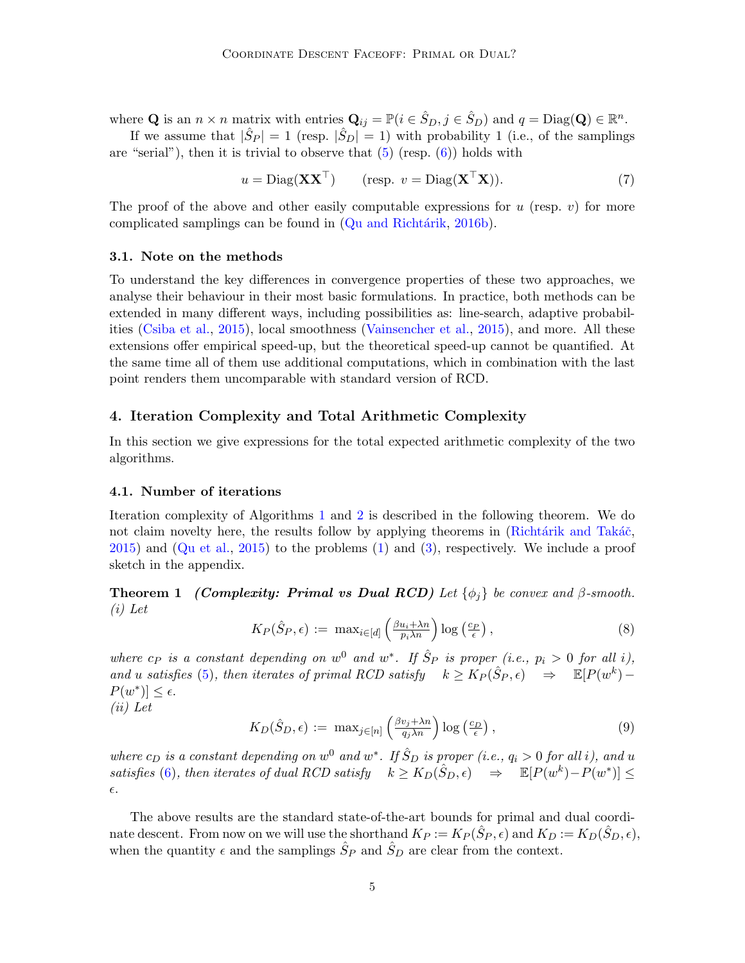where **Q** is an  $n \times n$  matrix with entries  $\mathbf{Q}_{ij} = \mathbb{P}(i \in \hat{S}_D, j \in \hat{S}_D)$  and  $q = \text{Diag}(\mathbf{Q}) \in \mathbb{R}^n$ .

If we assume that  $|\hat{S}_P| = 1$  (resp.  $|\hat{S}_D| = 1$ ) with probability 1 (i.e., of the samplings are "serial"), then it is trivial to observe that  $(5)$  (resp.  $(6)$ ) holds with

<span id="page-4-3"></span>
$$
u = \text{Diag}(\mathbf{X}\mathbf{X}^{\top}) \qquad (\text{resp. } v = \text{Diag}(\mathbf{X}^{\top}\mathbf{X})). \tag{7}
$$

The proof of the above and other easily computable expressions for  $u$  (resp.  $v$ ) for more complicated samplings can be found in  $(Qu and Richtarik, 2016b)$  $(Qu and Richtarik, 2016b)$ .

### 3.1. Note on the methods

To understand the key differences in convergence properties of these two approaches, we analyse their behaviour in their most basic formulations. In practice, both methods can be extended in many different ways, including possibilities as: line-search, adaptive probabilities [\(Csiba et al.,](#page-11-10) [2015\)](#page-11-10), local smoothness [\(Vainsencher et al.,](#page-12-9) [2015\)](#page-12-9), and more. All these extensions offer empirical speed-up, but the theoretical speed-up cannot be quantified. At the same time all of them use additional computations, which in combination with the last point renders them uncomparable with standard version of RCD.

## 4. Iteration Complexity and Total Arithmetic Complexity

In this section we give expressions for the total expected arithmetic complexity of the two algorithms.

#### 4.1. Number of iterations

Iteration complexity of Algorithms [1](#page-3-0) and [2](#page-3-1) is described in the following theorem. We do not claim novelty here, the results follow by applying theorems in (Richtárik and Takáč, [2015\)](#page-12-8) and [\(Qu et al.,](#page-11-8) [2015\)](#page-11-8) to the problems [\(1\)](#page-2-0) and [\(3\)](#page-2-1), respectively. We include a proof sketch in the appendix.

<span id="page-4-0"></span>**Theorem 1** (Complexity: Primal vs Dual RCD) Let  $\{\phi_i\}$  be convex and  $\beta$ -smooth. (i) Let

<span id="page-4-1"></span>
$$
K_P(\hat{S}_P, \epsilon) := \max_{i \in [d]} \left( \frac{\beta u_i + \lambda n}{p_i \lambda n} \right) \log \left( \frac{c_P}{\epsilon} \right),\tag{8}
$$

where  $c_P$  is a constant depending on  $w^0$  and  $w^*$ . If  $\hat{S}_P$  is proper (i.e.,  $p_i > 0$  for all i), and u satisfies [\(5\)](#page-3-2), then iterates of primal RCD satisfy  $k \geq K_P(\hat{S}_P, \epsilon) \Rightarrow \mathbb{E}[P(w^k) P(w^*) \leq \epsilon.$ 

(ii) Let

<span id="page-4-2"></span>
$$
K_D(\hat{S}_D, \epsilon) := \max_{j \in [n]} \left( \frac{\beta v_j + \lambda n}{q_j \lambda n} \right) \log \left( \frac{c_D}{\epsilon} \right),\tag{9}
$$

where  $c_D$  is a constant depending on  $w^0$  and  $w^*$ . If  $\hat{S}_D$  is proper (i.e.,  $q_i > 0$  for all i), and u satisfies [\(6\)](#page-3-3), then iterates of dual RCD satisfy  $k \geq K_D(\hat{S}_D, \epsilon) \Rightarrow \mathbb{E}[P(w^k) - P(w^*)] \leq$  $\epsilon$ .

The above results are the standard state-of-the-art bounds for primal and dual coordinate descent. From now on we will use the shorthand  $K_P := K_P(\hat{S}_P, \epsilon)$  and  $K_D := K_D(\hat{S}_D, \epsilon)$ , when the quantity  $\epsilon$  and the samplings  $\hat{S}_P$  and  $\hat{S}_D$  are clear from the context.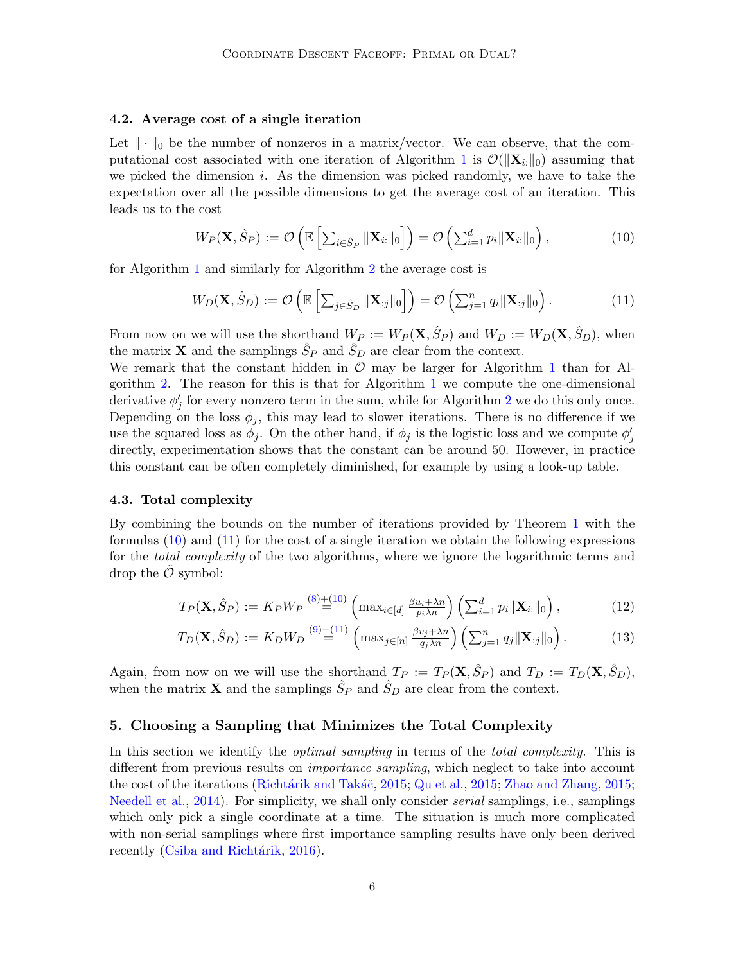### 4.2. Average cost of a single iteration

Let  $\|\cdot\|_0$  be the number of nonzeros in a matrix/vector. We can observe, that the com-putational cost associated with one iteration of Algorithm [1](#page-3-0) is  $\mathcal{O}(\|\mathbf{X}_{i:}\|_0)$  assuming that we picked the dimension i. As the dimension was picked randomly, we have to take the expectation over all the possible dimensions to get the average cost of an iteration. This leads us to the cost

<span id="page-5-0"></span>
$$
W_P(\mathbf{X}, \hat{S}_P) := \mathcal{O}\left(\mathbb{E}\left[\sum_{i \in \hat{S}_P} ||\mathbf{X}_{i:}||_0\right]\right) = \mathcal{O}\left(\sum_{i=1}^d p_i ||\mathbf{X}_{i:}||_0\right),\tag{10}
$$

for Algorithm [1](#page-3-0) and similarly for Algorithm [2](#page-3-1) the average cost is

<span id="page-5-1"></span>
$$
W_D(\mathbf{X}, \hat{S}_D) := \mathcal{O}\left(\mathbb{E}\left[\sum_{j \in \hat{S}_D} \|\mathbf{X}_{:j}\|_0\right]\right) = \mathcal{O}\left(\sum_{j=1}^n q_i \|\mathbf{X}_{:j}\|_0\right).
$$
(11)

From now on we will use the shorthand  $W_P := W_P(\mathbf{X}, \hat{S}_P)$  and  $W_D := W_D(\mathbf{X}, \hat{S}_D)$ , when the matrix **X** and the samplings  $\hat{S}_P$  and  $\hat{S}_D$  are clear from the context.

We remark that the constant hidden in  $\mathcal O$  may be larger for Algorithm [1](#page-3-0) than for Algorithm [2.](#page-3-1) The reason for this is that for Algorithm [1](#page-3-0) we compute the one-dimensional derivative  $\phi'_j$  for every nonzero term in the sum, while for Algorithm [2](#page-3-1) we do this only once. Depending on the loss  $\phi_j$ , this may lead to slower iterations. There is no difference if we use the squared loss as  $\phi_j$ . On the other hand, if  $\phi_j$  is the logistic loss and we compute  $\phi'_j$ directly, experimentation shows that the constant can be around 50. However, in practice this constant can be often completely diminished, for example by using a look-up table.

#### 4.3. Total complexity

By combining the bounds on the number of iterations provided by Theorem [1](#page-4-0) with the formulas  $(10)$  and  $(11)$  for the cost of a single iteration we obtain the following expressions for the *total complexity* of the two algorithms, where we ignore the logarithmic terms and drop the  $\mathcal O$  symbol:

<span id="page-5-3"></span><span id="page-5-2"></span>
$$
T_P(\mathbf{X}, \hat{S}_P) := K_P W_P \stackrel{(8)+(10)}{=} \left( \max_{i \in [d]} \frac{\beta u_i + \lambda n}{p_i \lambda n} \right) \left( \sum_{i=1}^d p_i \|\mathbf{X}_{i:}\|_0 \right), \tag{12}
$$

$$
T_D(\mathbf{X}, \hat{S}_D) := K_D W_D \stackrel{(9) + (11)}{=} \left( \max_{j \in [n]} \frac{\beta v_j + \lambda n}{q_j \lambda n} \right) \left( \sum_{j=1}^n q_j \|\mathbf{X}_{:j}\|_0 \right). \tag{13}
$$

Again, from now on we will use the shorthand  $T_P := T_P(\mathbf{X}, \hat{S}_P)$  and  $T_D := T_D(\mathbf{X}, \hat{S}_D)$ , when the matrix **X** and the samplings  $\hat{S}_P$  and  $\hat{S}_D$  are clear from the context.

### 5. Choosing a Sampling that Minimizes the Total Complexity

In this section we identify the *optimal sampling* in terms of the *total complexity*. This is different from previous results on *importance sampling*, which neglect to take into account the cost of the iterations (Richtárik and Takáč, [2015;](#page-12-10) [Qu et al.,](#page-11-8) 2015; [Zhao and Zhang,](#page-12-10) 2015; [Needell et al.,](#page-11-11) [2014\)](#page-11-11). For simplicity, we shall only consider *serial* samplings, i.e., samplings which only pick a single coordinate at a time. The situation is much more complicated with non-serial samplings where first importance sampling results have only been derived recently (Csiba and Richtárik, [2016\)](#page-11-12).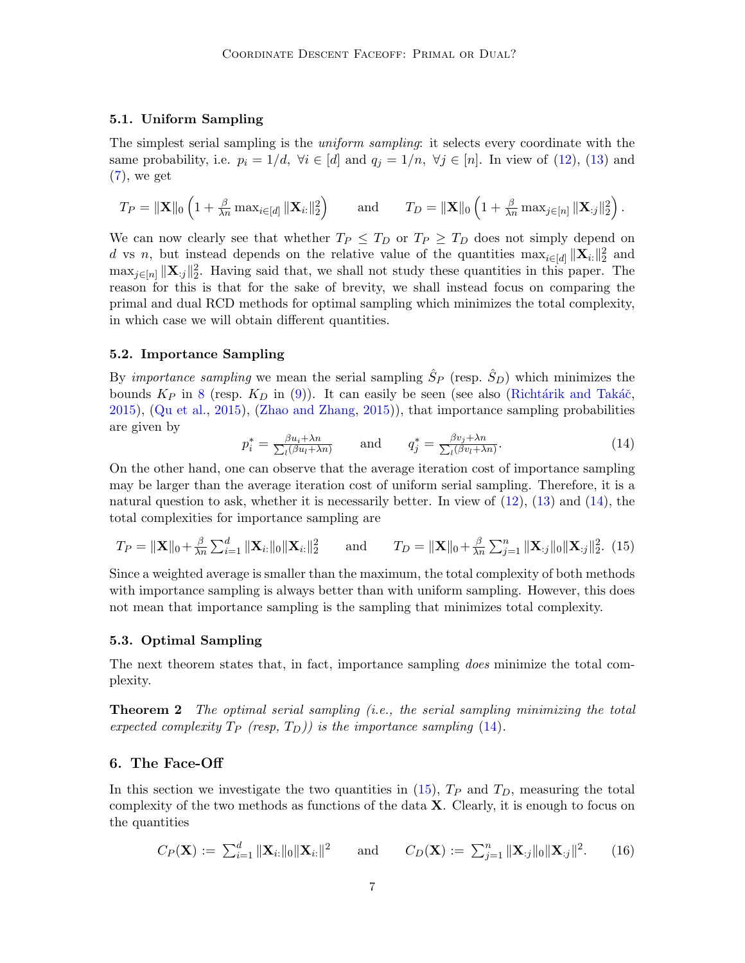#### 5.1. Uniform Sampling

The simplest serial sampling is the *uniform sampling*: it selects every coordinate with the same probability, i.e.  $p_i = 1/d$ ,  $\forall i \in [d]$  and  $q_j = 1/n$ ,  $\forall j \in [n]$ . In view of [\(12\)](#page-5-2), [\(13\)](#page-5-3) and  $(7)$ , we get

$$
T_P = \|\mathbf{X}\|_0 \left(1 + \frac{\beta}{\lambda n} \max_{i \in [d]} \|\mathbf{X}_{i:}\|_2^2\right) \qquad \text{and} \qquad T_D = \|\mathbf{X}\|_0 \left(1 + \frac{\beta}{\lambda n} \max_{j \in [n]} \|\mathbf{X}_{:j}\|_2^2\right).
$$

We can now clearly see that whether  $T_P \leq T_D$  or  $T_P \geq T_D$  does not simply depend on d vs n, but instead depends on the relative value of the quantities  $\max_{i \in [d]} ||\mathbf{X}_{i}||_{2}^{2}$  and  $\max_{j\in[n]} \|X_{:j}\|_2^2$ . Having said that, we shall not study these quantities in this paper. The reason for this is that for the sake of brevity, we shall instead focus on comparing the primal and dual RCD methods for optimal sampling which minimizes the total complexity, in which case we will obtain different quantities.

## 5.2. Importance Sampling

By *importance sampling* we mean the serial sampling  $\hat{S}_P$  (resp.  $\hat{S}_D$ ) which minimizes the bounds  $K_P$  in [8](#page-4-1) (resp.  $K_D$  in [\(9\)](#page-4-2)). It can easily be seen (see also (Richtárik and Takáč, [2015\)](#page-12-8), [\(Qu et al.,](#page-11-8) [2015\)](#page-11-8), [\(Zhao and Zhang,](#page-12-10) [2015\)](#page-12-10)), that importance sampling probabilities are given by

<span id="page-6-0"></span>
$$
p_i^* = \frac{\beta u_i + \lambda n}{\sum_l (\beta u_l + \lambda n)} \quad \text{and} \quad q_j^* = \frac{\beta v_j + \lambda n}{\sum_l (\beta v_l + \lambda n)}.
$$
 (14)

On the other hand, one can observe that the average iteration cost of importance sampling may be larger than the average iteration cost of uniform serial sampling. Therefore, it is a natural question to ask, whether it is necessarily better. In view of  $(12)$ ,  $(13)$  and  $(14)$ , the total complexities for importance sampling are

<span id="page-6-1"></span>
$$
T_P = \|\mathbf{X}\|_0 + \frac{\beta}{\lambda n} \sum_{i=1}^d \|\mathbf{X}_{i:}\|_0 \|\mathbf{X}_{i:}\|_2^2 \quad \text{and} \quad T_D = \|\mathbf{X}\|_0 + \frac{\beta}{\lambda n} \sum_{j=1}^n \|\mathbf{X}_{:j}\|_0 \|\mathbf{X}_{:j}\|_2^2. \tag{15}
$$

Since a weighted average is smaller than the maximum, the total complexity of both methods with importance sampling is always better than with uniform sampling. However, this does not mean that importance sampling is the sampling that minimizes total complexity.

### 5.3. Optimal Sampling

The next theorem states that, in fact, importance sampling *does* minimize the total complexity.

<span id="page-6-2"></span>**Theorem 2** The optimal serial sampling (i.e., the serial sampling minimizing the total expected complexity  $T_P$  (resp,  $T_D$ )) is the importance sampling [\(14\)](#page-6-0).

### 6. The Face-Off

In this section we investigate the two quantities in [\(15\)](#page-6-1),  $T_P$  and  $T_D$ , measuring the total complexity of the two methods as functions of the data X. Clearly, it is enough to focus on the quantities

<span id="page-6-3"></span>
$$
C_P(\mathbf{X}) := \sum_{i=1}^d ||\mathbf{X}_{i:}||_0 ||\mathbf{X}_{i:}||^2 \quad \text{and} \quad C_D(\mathbf{X}) := \sum_{j=1}^n ||\mathbf{X}_{:j}||_0 ||\mathbf{X}_{:j}||^2. \quad (16)
$$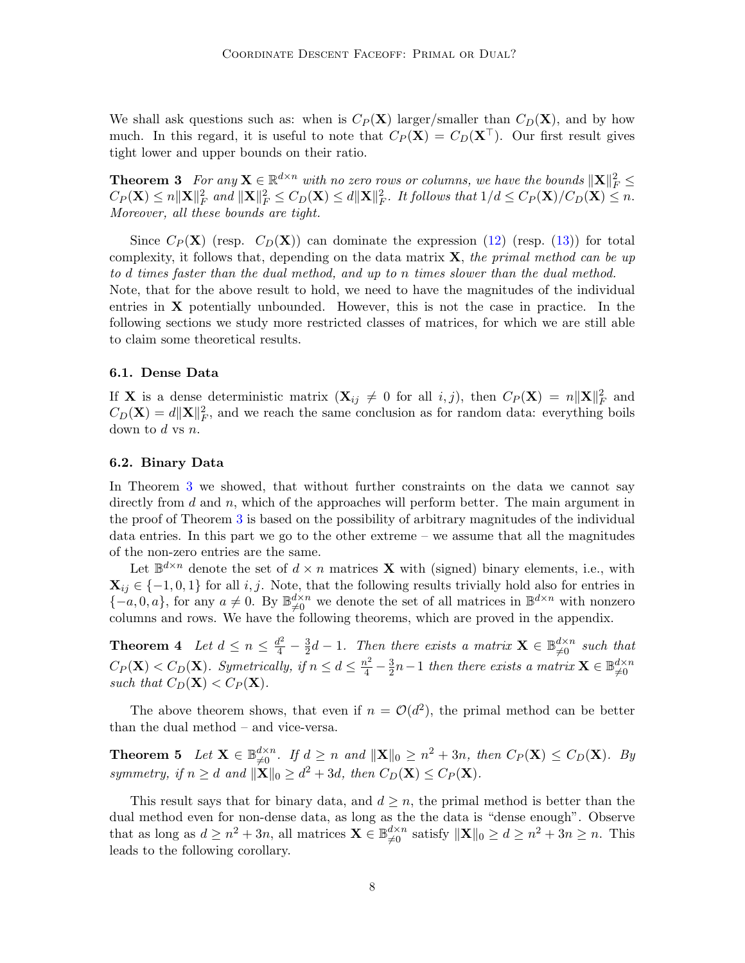We shall ask questions such as: when is  $C_P(X)$  larger/smaller than  $C_D(X)$ , and by how much. In this regard, it is useful to note that  $C_P(\mathbf{X}) = C_D(\mathbf{X}^{\top})$ . Our first result gives tight lower and upper bounds on their ratio.

<span id="page-7-0"></span>**Theorem 3** For any  $\mathbf{X} \in \mathbb{R}^{d \times n}$  with no zero rows or columns, we have the bounds  $\|\mathbf{X}\|_F^2 \leq$  $C_P(\mathbf{X}) \le n ||\mathbf{X}||_F^2$  and  $||\mathbf{X}||_F^2 \le C_D(\mathbf{X}) \le d ||\mathbf{X}||_F^2$ . It follows that  $1/d \le C_P(\mathbf{X})/C_D(\mathbf{X}) \le n$ . Moreover, all these bounds are tight.

Since  $C_P(\mathbf{X})$  (resp.  $C_D(\mathbf{X})$ ) can dominate the expression [\(12\)](#page-5-2) (resp. [\(13\)](#page-5-3)) for total complexity, it follows that, depending on the data matrix  $\bf{X}$ , the primal method can be up to d times faster than the dual method, and up to n times slower than the dual method. Note, that for the above result to hold, we need to have the magnitudes of the individual entries in  $X$  potentially unbounded. However, this is not the case in practice. In the following sections we study more restricted classes of matrices, for which we are still able to claim some theoretical results.

#### 6.1. Dense Data

If **X** is a dense deterministic matrix  $(X_{ij} \neq 0$  for all  $i, j$ ), then  $C_P(X) = n||X||_F^2$  and  $C_D(\mathbf{X}) = d\|\mathbf{X}\|_F^2$ , and we reach the same conclusion as for random data: everything boils down to  $d$  vs  $n$ .

#### <span id="page-7-3"></span>6.2. Binary Data

In Theorem [3](#page-7-0) we showed, that without further constraints on the data we cannot say directly from  $d$  and  $n$ , which of the approaches will perform better. The main argument in the proof of Theorem [3](#page-7-0) is based on the possibility of arbitrary magnitudes of the individual data entries. In this part we go to the other extreme – we assume that all the magnitudes of the non-zero entries are the same.

Let  $\mathbb{B}^{d \times n}$  denote the set of  $d \times n$  matrices **X** with (signed) binary elements, i.e., with  $\mathbf{X}_{ij} \in \{-1,0,1\}$  for all i, j. Note, that the following results trivially hold also for entries in  ${-a, 0, a}$ , for any  $a \neq 0$ . By  $\mathbb{B}_{\neq 0}^{d \times n}$  we denote the set of all matrices in  $\mathbb{B}^{d \times n}$  with nonzero columns and rows. We have the following theorems, which are proved in the appendix.

<span id="page-7-2"></span>**Theorem 4** Let  $d \leq n \leq \frac{d^2}{4} - \frac{3}{2}$  $\frac{3}{2}d-1$ . Then there exists a matrix  $\mathbf{X} \in \mathbb{B}_{\neq 0}^{d \times n}$  such that  $C_P(\mathbf{X}) < C_D(\mathbf{X})$ . Symetrically, if  $n \leq d \leq \frac{n^2}{4} - \frac{3}{2}$  $\frac{3}{2}n-1$  then there exists a matrix  $\mathbf{X} \in \mathbb{B}_{\neq 0}^{d \times n}$  $\neq 0$ such that  $C_D(\mathbf{X}) < C_P(\mathbf{X})$ .

The above theorem shows, that even if  $n = \mathcal{O}(d^2)$ , the primal method can be better than the dual method – and vice-versa.

<span id="page-7-1"></span>**Theorem 5** Let  $\mathbf{X} \in \mathbb{B}_{\neq 0}^{d \times n}$ . If  $d \geq n$  and  $\|\mathbf{X}\|_0 \geq n^2 + 3n$ , then  $C_P(\mathbf{X}) \leq C_D(\mathbf{X})$ . By symmetry, if  $n \geq d$  and  $\|\mathbf{X}\|_0 \geq d^2 + 3d$ , then  $C_D(\mathbf{X}) \leq C_P(\mathbf{X})$ .

<span id="page-7-4"></span>This result says that for binary data, and  $d \geq n$ , the primal method is better than the dual method even for non-dense data, as long as the the data is "dense enough". Observe that as long as  $d \geq n^2 + 3n$ , all matrices  $\mathbf{X} \in \mathbb{B}_{\neq 0}^{d \times n}$  satisfy  $\|\mathbf{X}\|_0 \geq d \geq n^2 + 3n \geq n$ . This leads to the following corollary.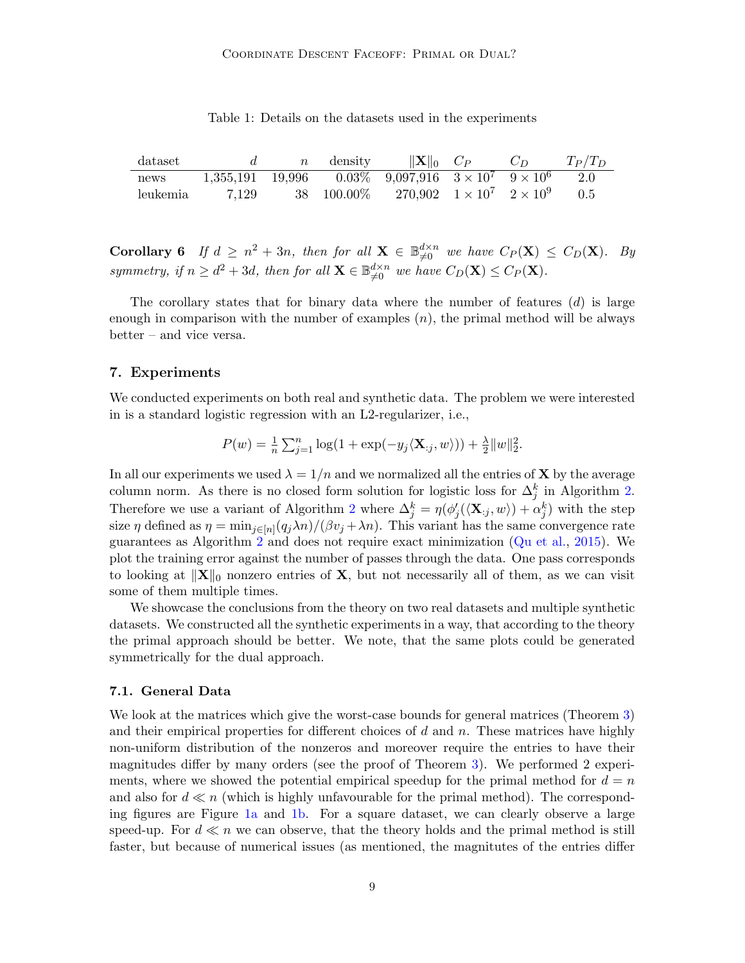<span id="page-8-0"></span>

| dataset  |       | $\boldsymbol{n}$ | density | $\ \mathbf{X}\ _0$ $C_P$                                                  | $C_{D}$ | $T_P/T_D$ |
|----------|-------|------------------|---------|---------------------------------------------------------------------------|---------|-----------|
| news     |       |                  |         | $1,355,191$ $19,996$ $0.03\%$ $9,097,916$ $3 \times 10^7$ $9 \times 10^6$ |         | 2.0       |
| leukemia | 7.129 |                  |         | 38 100.00\% 270.902 $1 \times 10^7$ $2 \times 10^9$                       |         | 0.5       |

Table 1: Details on the datasets used in the experiments

**Corollary 6** If  $d \geq n^2 + 3n$ , then for all  $\mathbf{X} \in \mathbb{B}_{\neq 0}^{d \times n}$  we have  $C_P(\mathbf{X}) \leq C_D(\mathbf{X})$ . By symmetry, if  $n \geq d^2 + 3d$ , then for all  $\mathbf{X} \in \mathbb{B}_{\neq 0}^{d \times n}$  we have  $C_D(\mathbf{X}) \leq C_P(\mathbf{X})$ .

The corollary states that for binary data where the number of features  $(d)$  is large enough in comparison with the number of examples  $(n)$ , the primal method will be always better – and vice versa.

### 7. Experiments

We conducted experiments on both real and synthetic data. The problem we were interested in is a standard logistic regression with an L2-regularizer, i.e.,

$$
P(w) = \frac{1}{n} \sum_{j=1}^{n} \log(1 + \exp(-y_j \langle \mathbf{X}_{:j}, w \rangle)) + \frac{\lambda}{2} ||w||_2^2.
$$

In all our experiments we used  $\lambda = 1/n$  and we normalized all the entries of **X** by the average column norm. As there is no closed form solution for logistic loss for  $\Delta_j^k$  in Algorithm [2.](#page-3-1) Therefore we use a variant of Algorithm [2](#page-3-1) where  $\Delta_j^k = \eta(\phi_j'(\langle \mathbf{X}_{:j}, w \rangle) + \alpha_j^k)$  with the step size  $\eta$  defined as  $\eta = \min_{j \in [n]} (q_j \lambda n) / (\beta v_j + \lambda n)$ . This variant has the same convergence rate guarantees as Algorithm [2](#page-3-1) and does not require exact minimization [\(Qu et al.,](#page-11-8) [2015\)](#page-11-8). We plot the training error against the number of passes through the data. One pass corresponds to looking at  $\|\mathbf{X}\|_0$  nonzero entries of **X**, but not necessarily all of them, as we can visit some of them multiple times.

We showcase the conclusions from the theory on two real datasets and multiple synthetic datasets. We constructed all the synthetic experiments in a way, that according to the theory the primal approach should be better. We note, that the same plots could be generated symmetrically for the dual approach.

#### 7.1. General Data

We look at the matrices which give the worst-case bounds for general matrices (Theorem [3\)](#page-7-0) and their empirical properties for different choices of  $d$  and  $n$ . These matrices have highly non-uniform distribution of the nonzeros and moreover require the entries to have their magnitudes differ by many orders (see the proof of Theorem [3\)](#page-7-0). We performed 2 experiments, where we showed the potential empirical speedup for the primal method for  $d = n$ and also for  $d \ll n$  (which is highly unfavourable for the primal method). The corresponding figures are Figure [1a](#page-9-0) and [1b.](#page-9-1) For a square dataset, we can clearly observe a large speed-up. For  $d \ll n$  we can observe, that the theory holds and the primal method is still faster, but because of numerical issues (as mentioned, the magnitutes of the entries differ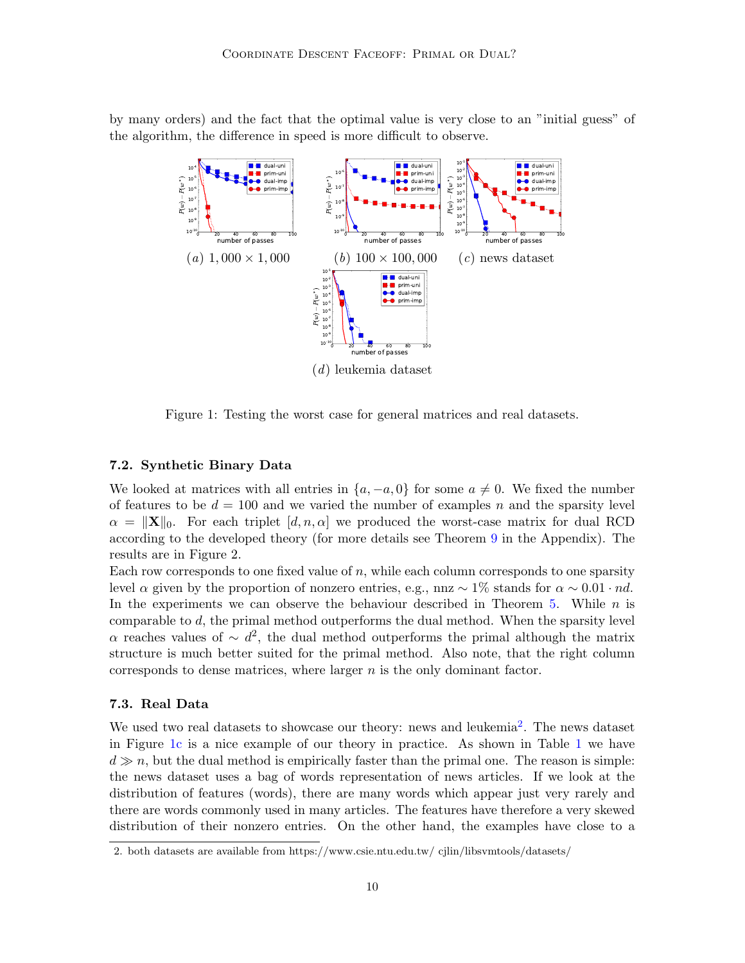<span id="page-9-0"></span>by many orders) and the fact that the optimal value is very close to an "initial guess" of the algorithm, the difference in speed is more difficult to observe.

<span id="page-9-3"></span><span id="page-9-1"></span>

<span id="page-9-4"></span>Figure 1: Testing the worst case for general matrices and real datasets.

### 7.2. Synthetic Binary Data

We looked at matrices with all entries in  $\{a, -a, 0\}$  for some  $a \neq 0$ . We fixed the number of features to be  $d = 100$  and we varied the number of examples n and the sparsity level  $\alpha = ||\mathbf{X}||_0$ . For each triplet  $[d, n, \alpha]$  we produced the worst-case matrix for dual RCD according to the developed theory (for more details see Theorem [9](#page-16-0) in the Appendix). The results are in Figure 2.

Each row corresponds to one fixed value of  $n$ , while each column corresponds to one sparsity level  $\alpha$  given by the proportion of nonzero entries, e.g., nnz  $\sim 1\%$  stands for  $\alpha \sim 0.01 \cdot nd$ . In the experiments we can observe the behaviour described in Theorem [5.](#page-7-1) While  $n$  is comparable to  $d$ , the primal method outperforms the dual method. When the sparsity level α reaches values of  $\sim d^2$ , the dual method outperforms the primal although the matrix structure is much better suited for the primal method. Also note, that the right column corresponds to dense matrices, where larger  $n$  is the only dominant factor.

## 7.3. Real Data

We used two real datasets to showcase our theory: news and leukemia<sup>[2](#page-9-2)</sup>. The news dataset in Figure [1c](#page-9-3) is a nice example of our theory in practice. As shown in Table [1](#page-8-0) we have  $d \gg n$ , but the dual method is empirically faster than the primal one. The reason is simple: the news dataset uses a bag of words representation of news articles. If we look at the distribution of features (words), there are many words which appear just very rarely and there are words commonly used in many articles. The features have therefore a very skewed distribution of their nonzero entries. On the other hand, the examples have close to a

<span id="page-9-2"></span><sup>2.</sup> both datasets are available from https://www.csie.ntu.edu.tw/ cjlin/libsvmtools/datasets/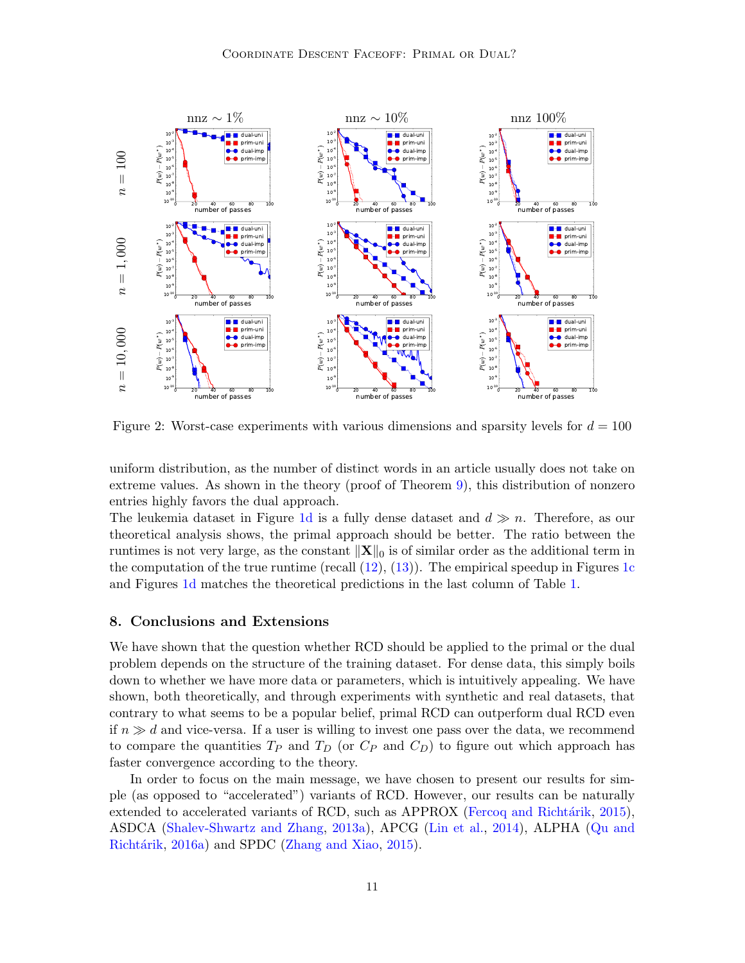

Figure 2: Worst-case experiments with various dimensions and sparsity levels for  $d = 100$ 

uniform distribution, as the number of distinct words in an article usually does not take on extreme values. As shown in the theory (proof of Theorem [9\)](#page-16-0), this distribution of nonzero entries highly favors the dual approach.

The leukemia dataset in Figure [1d](#page-9-4) is a fully dense dataset and  $d \gg n$ . Therefore, as our theoretical analysis shows, the primal approach should be better. The ratio between the runtimes is not very large, as the constant  $\|\mathbf{X}\|_0$  is of similar order as the additional term in the computation of the true runtime (recall  $(12)$ ,  $(13)$ ). The empirical speedup in Figures [1c](#page-9-3) and Figures [1d](#page-9-4) matches the theoretical predictions in the last column of Table [1.](#page-8-0)

### 8. Conclusions and Extensions

We have shown that the question whether RCD should be applied to the primal or the dual problem depends on the structure of the training dataset. For dense data, this simply boils down to whether we have more data or parameters, which is intuitively appealing. We have shown, both theoretically, and through experiments with synthetic and real datasets, that contrary to what seems to be a popular belief, primal RCD can outperform dual RCD even if  $n \gg d$  and vice-versa. If a user is willing to invest one pass over the data, we recommend to compare the quantities  $T_P$  and  $T_D$  (or  $C_P$  and  $C_D$ ) to figure out which approach has faster convergence according to the theory.

In order to focus on the main message, we have chosen to present our results for simple (as opposed to "accelerated") variants of RCD. However, our results can be naturally extended to accelerated variants of RCD, such as APPROX (Fercoq and Richtárik, [2015\)](#page-11-13), ASDCA [\(Shalev-Shwartz and Zhang,](#page-12-11) [2013a\)](#page-12-11), APCG [\(Lin et al.,](#page-11-14) [2014\)](#page-11-14), ALPHA [\(Qu and](#page-11-15) Richtárik, [2016a\)](#page-11-15) and SPDC [\(Zhang and Xiao,](#page-12-12) [2015\)](#page-12-12).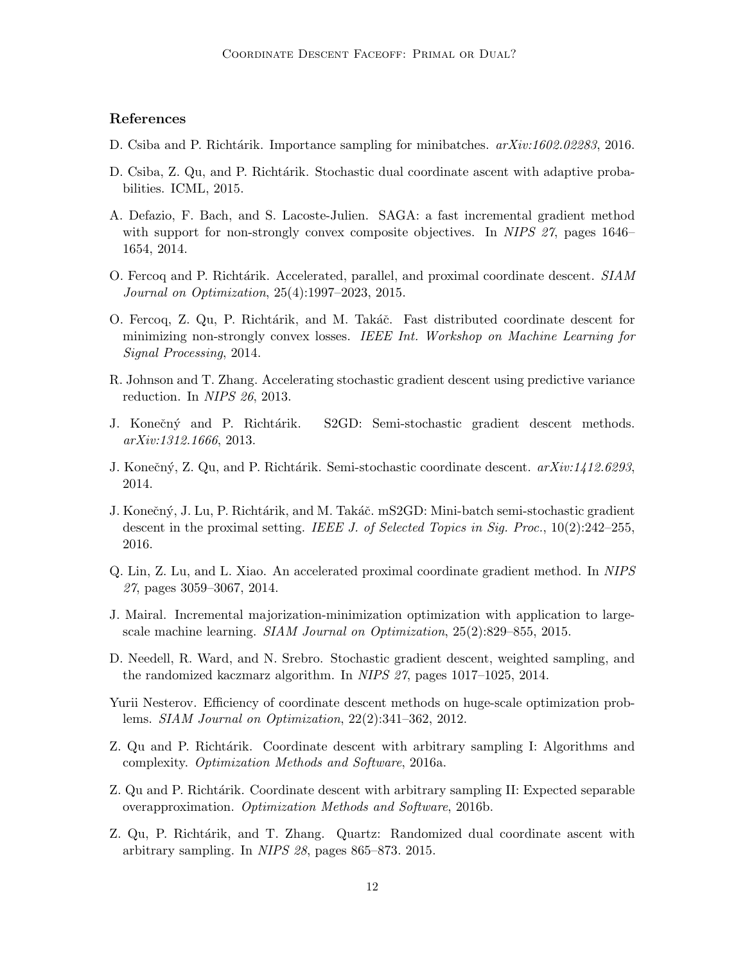## References

- <span id="page-11-12"></span>D. Csiba and P. Richtárik. Importance sampling for minibatches.  $arXiv:1602.02283$ , 2016.
- <span id="page-11-10"></span>D. Csiba, Z. Qu, and P. Richtárik. Stochastic dual coordinate ascent with adaptive probabilities. ICML, 2015.
- <span id="page-11-5"></span>A. Defazio, F. Bach, and S. Lacoste-Julien. SAGA: a fast incremental gradient method with support for non-strongly convex composite objectives. In NIPS 27, pages 1646– 1654, 2014.
- <span id="page-11-13"></span>O. Fercoq and P. Richtárik. Accelerated, parallel, and proximal coordinate descent. SIAM Journal on Optimization, 25(4):1997–2023, 2015.
- <span id="page-11-1"></span>O. Fercoq, Z. Qu, P. Richtárik, and M. Takáč. Fast distributed coordinate descent for minimizing non-strongly convex losses. IEEE Int. Workshop on Machine Learning for Signal Processing, 2014.
- <span id="page-11-2"></span>R. Johnson and T. Zhang. Accelerating stochastic gradient descent using predictive variance reduction. In NIPS 26, 2013.
- <span id="page-11-3"></span>J. Konečný and P. Richtárik. S2GD: Semi-stochastic gradient descent methods. arXiv:1312.1666, 2013.
- <span id="page-11-7"></span>J. Konečný, Z. Qu, and P. Richtárik. Semi-stochastic coordinate descent.  $arXiv:1412.6293$ , 2014.
- <span id="page-11-4"></span>J. Konečný, J. Lu, P. Richtárik, and M. Takáč. mS2GD: Mini-batch semi-stochastic gradient descent in the proximal setting. IEEE J. of Selected Topics in Sig. Proc.,  $10(2):242-255$ , 2016.
- <span id="page-11-14"></span>Q. Lin, Z. Lu, and L. Xiao. An accelerated proximal coordinate gradient method. In NIPS 27, pages 3059–3067, 2014.
- <span id="page-11-6"></span>J. Mairal. Incremental majorization-minimization optimization with application to largescale machine learning. SIAM Journal on Optimization, 25(2):829–855, 2015.
- <span id="page-11-11"></span>D. Needell, R. Ward, and N. Srebro. Stochastic gradient descent, weighted sampling, and the randomized kaczmarz algorithm. In NIPS 27, pages 1017–1025, 2014.
- <span id="page-11-0"></span>Yurii Nesterov. Efficiency of coordinate descent methods on huge-scale optimization problems. SIAM Journal on Optimization, 22(2):341–362, 2012.
- <span id="page-11-15"></span>Z. Qu and P. Richtárik. Coordinate descent with arbitrary sampling I: Algorithms and complexity. Optimization Methods and Software, 2016a.
- <span id="page-11-9"></span>Z. Qu and P. Richtárik. Coordinate descent with arbitrary sampling II: Expected separable overapproximation. Optimization Methods and Software, 2016b.
- <span id="page-11-8"></span>Z. Qu, P. Richtárik, and T. Zhang. Quartz: Randomized dual coordinate ascent with arbitrary sampling. In NIPS 28, pages 865–873. 2015.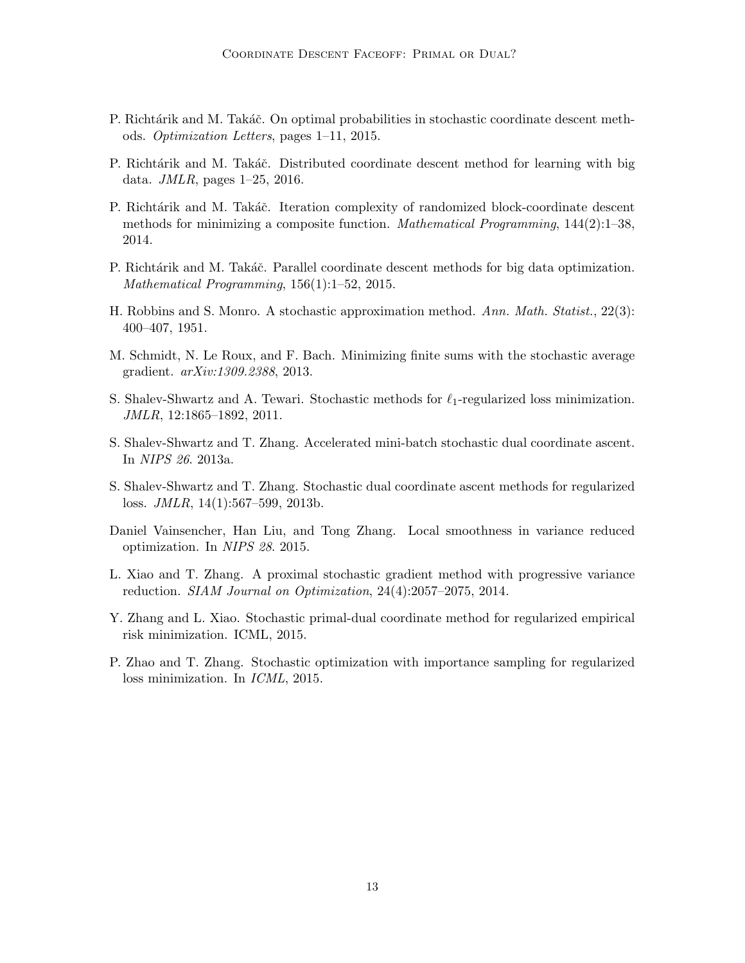- <span id="page-12-8"></span>P. Richtárik and M. Takáč. On optimal probabilities in stochastic coordinate descent methods. Optimization Letters, pages 1–11, 2015.
- <span id="page-12-5"></span>P. Richtárik and M. Takáč. Distributed coordinate descent method for learning with big data. JMLR, pages 1–25, 2016.
- <span id="page-12-1"></span>P. Richtárik and M. Takáč. Iteration complexity of randomized block-coordinate descent methods for minimizing a composite function. Mathematical Programming, 144(2):1–38, 2014.
- <span id="page-12-2"></span>P. Richtárik and M. Takáč. Parallel coordinate descent methods for big data optimization. Mathematical Programming, 156(1):1–52, 2015.
- <span id="page-12-3"></span>H. Robbins and S. Monro. A stochastic approximation method. Ann. Math. Statist., 22(3): 400–407, 1951.
- <span id="page-12-6"></span>M. Schmidt, N. Le Roux, and F. Bach. Minimizing finite sums with the stochastic average gradient. arXiv:1309.2388, 2013.
- <span id="page-12-0"></span>S. Shalev-Shwartz and A. Tewari. Stochastic methods for  $\ell_1$ -regularized loss minimization. JMLR, 12:1865–1892, 2011.
- <span id="page-12-11"></span>S. Shalev-Shwartz and T. Zhang. Accelerated mini-batch stochastic dual coordinate ascent. In NIPS 26. 2013a.
- <span id="page-12-4"></span>S. Shalev-Shwartz and T. Zhang. Stochastic dual coordinate ascent methods for regularized loss. JMLR, 14(1):567–599, 2013b.
- <span id="page-12-9"></span>Daniel Vainsencher, Han Liu, and Tong Zhang. Local smoothness in variance reduced optimization. In NIPS 28. 2015.
- <span id="page-12-7"></span>L. Xiao and T. Zhang. A proximal stochastic gradient method with progressive variance reduction. SIAM Journal on Optimization, 24(4):2057–2075, 2014.
- <span id="page-12-12"></span>Y. Zhang and L. Xiao. Stochastic primal-dual coordinate method for regularized empirical risk minimization. ICML, 2015.
- <span id="page-12-10"></span>P. Zhao and T. Zhang. Stochastic optimization with importance sampling for regularized loss minimization. In ICML, 2015.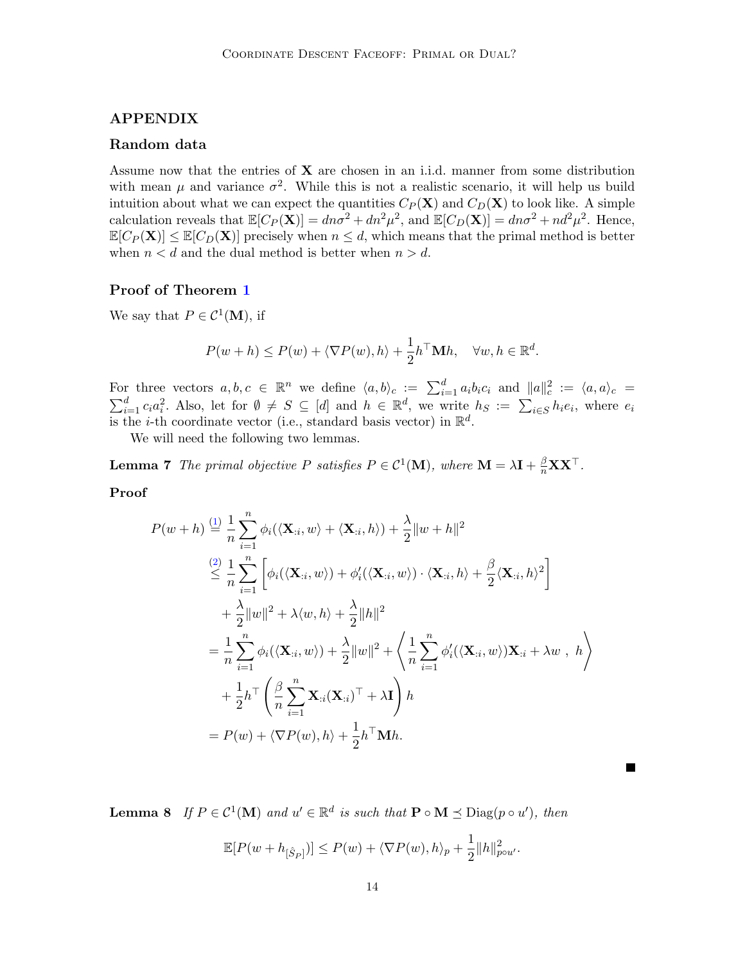## APPENDIX

## Random data

Assume now that the entries of  $X$  are chosen in an i.i.d. manner from some distribution with mean  $\mu$  and variance  $\sigma^2$ . While this is not a realistic scenario, it will help us build intuition about what we can expect the quantities  $C_P(\mathbf{X})$  and  $C_D(\mathbf{X})$  to look like. A simple calculation reveals that  $\mathbb{E}[C_P(\mathbf{X})] = dn\sigma^2 + dn^2\mu^2$ , and  $\mathbb{E}[C_D(\mathbf{X})] = dn\sigma^2 + nd^2\mu^2$ . Hence,  $\mathbb{E}[C_P(\mathbf{X})] \leq \mathbb{E}[C_D(\mathbf{X})]$  precisely when  $n \leq d$ , which means that the primal method is better when  $n < d$  and the dual method is better when  $n > d$ .

## Proof of Theorem [1](#page-4-0)

We say that  $P \in \mathcal{C}^1(\mathbf{M})$ , if

<span id="page-13-0"></span>
$$
P(w+h) \le P(w) + \langle \nabla P(w), h \rangle + \frac{1}{2} h^{\top} \mathbf{M} h, \quad \forall w, h \in \mathbb{R}^d.
$$

For three vectors  $a, b, c \in \mathbb{R}^n$  we define  $\langle a, b \rangle_c := \sum_{i=1}^d a_i b_i c_i$  and  $||a||_c^2 := \langle a, a \rangle_c =$  $\sum_{i=1}^d c_i a_i^2$ . Also, let for  $\emptyset \neq S \subseteq [d]$  and  $h \in \mathbb{R}^d$ , we write  $h_S := \sum_{i \in S} h_i e_i$ , where  $e_i$ is the *i*-th coordinate vector (i.e., standard basis vector) in  $\mathbb{R}^d$ .

We will need the following two lemmas.

**Lemma 7** The primal objective P satisfies  $P \in C^1(\mathbf{M})$ , where  $\mathbf{M} = \lambda \mathbf{I} + \frac{\beta}{n} \mathbf{X} \mathbf{X}^\top$ .

### Proof

$$
P(w+h) \stackrel{\text{(1)}}{=} \frac{1}{n} \sum_{i=1}^{n} \phi_i(\langle \mathbf{X}_{:i}, w \rangle + \langle \mathbf{X}_{:i}, h \rangle) + \frac{\lambda}{2} ||w+h||^2
$$
  
\n
$$
\stackrel{\text{(2)}}{\leq} \frac{1}{n} \sum_{i=1}^{n} \left[ \phi_i(\langle \mathbf{X}_{:i}, w \rangle) + \phi'_i(\langle \mathbf{X}_{:i}, w \rangle) \cdot \langle \mathbf{X}_{:i}, h \rangle + \frac{\beta}{2} \langle \mathbf{X}_{:i}, h \rangle^2 \right]
$$
  
\n
$$
+ \frac{\lambda}{2} ||w||^2 + \lambda \langle w, h \rangle + \frac{\lambda}{2} ||h||^2
$$
  
\n
$$
= \frac{1}{n} \sum_{i=1}^{n} \phi_i(\langle \mathbf{X}_{:i}, w \rangle) + \frac{\lambda}{2} ||w||^2 + \left\langle \frac{1}{n} \sum_{i=1}^{n} \phi'_i(\langle \mathbf{X}_{:i}, w \rangle) \mathbf{X}_{:i} + \lambda w, h \right\rangle
$$
  
\n
$$
+ \frac{1}{2} h^\top \left( \frac{\beta}{n} \sum_{i=1}^{n} \mathbf{X}_{:i}(\mathbf{X}_{:i})^\top + \lambda \mathbf{I} \right) h
$$
  
\n
$$
= P(w) + \langle \nabla P(w), h \rangle + \frac{1}{2} h^\top \mathbf{M} h.
$$

<span id="page-13-1"></span>**Lemma 8** If  $P \in C^1(\mathbf{M})$  and  $u' \in \mathbb{R}^d$  is such that  $\mathbf{P} \circ \mathbf{M} \preceq \text{Diag}(p \circ u')$ , then

$$
\mathbb{E}[P(w+h_{[\hat{S}_P]})] \le P(w) + \langle \nabla P(w), h \rangle_p + \frac{1}{2} ||h||_{p \circ u'}^2.
$$

■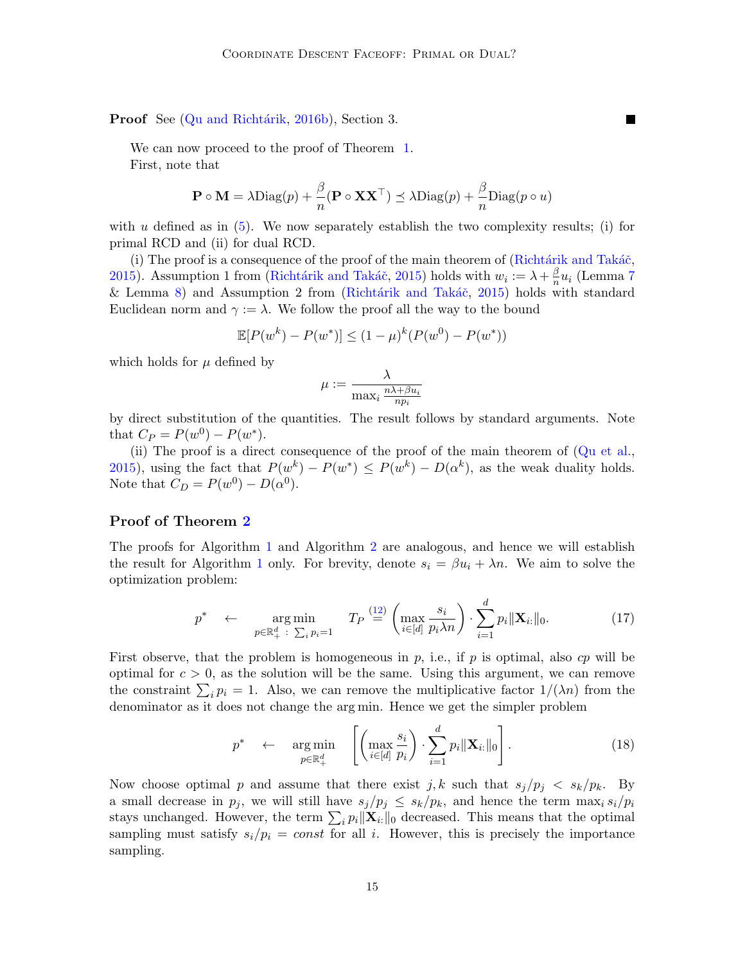Proof See (Qu and Richtárik, [2016b\)](#page-11-9), Section 3.

We can now proceed to the proof of Theorem [1.](#page-4-0) First, note that

$$
\mathbf{P} \circ \mathbf{M} = \lambda \text{Diag}(p) + \frac{\beta}{n} (\mathbf{P} \circ \mathbf{X} \mathbf{X}^{\top}) \preceq \lambda \text{Diag}(p) + \frac{\beta}{n} \text{Diag}(p \circ u)
$$

 $\blacksquare$ 

with u defined as in  $(5)$ . We now separately establish the two complexity results; (i) for primal RCD and (ii) for dual RCD.

(i) The proof is a consequence of the proof of the main theorem of  $(Richtárik and Takáč,$ [2015\)](#page-12-8). Assumption 1 from (Richtárik and Takáč, 2015) holds with  $w_i := \lambda + \frac{\beta}{n}$  $\frac{\beta}{n}u_i$  (Lemma [7](#page-13-0) & Lemma [8\)](#page-13-1) and Assumption 2 from (Richtárik and Takáč, [2015\)](#page-12-8) holds with standard Euclidean norm and  $\gamma := \lambda$ . We follow the proof all the way to the bound

$$
\mathbb{E}[P(w^k) - P(w^*)] \le (1 - \mu)^k (P(w^0) - P(w^*))
$$

which holds for  $\mu$  defined by

$$
\mu := \frac{\lambda}{\max_i \frac{n\lambda + \beta u_i}{np_i}}
$$

by direct substitution of the quantities. The result follows by standard arguments. Note that  $C_P = P(w^0) - P(w^*).$ 

(ii) The proof is a direct consequence of the proof of the main theorem of [\(Qu et al.,](#page-11-8) [2015\)](#page-11-8), using the fact that  $P(w^k) - P(w^*) \le P(w^k) - D(\alpha^k)$ , as the weak duality holds. Note that  $C_D = P(w^0) - D(\alpha^0)$ .

## Proof of Theorem [2](#page-6-2)

The proofs for Algorithm [1](#page-3-0) and Algorithm [2](#page-3-1) are analogous, and hence we will establish the result for Algorithm [1](#page-3-0) only. For brevity, denote  $s_i = \beta u_i + \lambda n$ . We aim to solve the optimization problem:

$$
p^* \leftarrow \argmin_{p \in \mathbb{R}_+^d \; : \; \sum_i p_i = 1} T_P \stackrel{(12)}{=} \left( \max_{i \in [d]} \frac{s_i}{p_i \lambda n} \right) \cdot \sum_{i=1}^d p_i \|\mathbf{X}_{i:}\|_0. \tag{17}
$$

First observe, that the problem is homogeneous in  $p$ , i.e., if  $p$  is optimal, also cp will be optimal for  $c > 0$ , as the solution will be the same. Using this argument, we can remove the constraint  $\sum_i p_i = 1$ . Also, we can remove the multiplicative factor  $1/(\lambda n)$  from the denominator as it does not change the arg min. Hence we get the simpler problem

$$
p^* \leftarrow \argmin_{p \in \mathbb{R}_+^d} \left[ \left( \max_{i \in [d]} \frac{s_i}{p_i} \right) \cdot \sum_{i=1}^d p_i ||\mathbf{X}_{i:}||_0 \right]. \tag{18}
$$

Now choose optimal p and assume that there exist j, k such that  $s_j/p_j \leq s_k/p_k$ . By a small decrease in  $p_j$ , we will still have  $s_j/p_j \leq s_k/p_k$ , and hence the term  $\max_i s_i/p_i$ stays unchanged. However, the term  $\sum_i p_i ||\mathbf{X}_{i:}||_0$  decreased. This means that the optimal sampling must satisfy  $s_i/p_i = const$  for all i. However, this is precisely the importance sampling.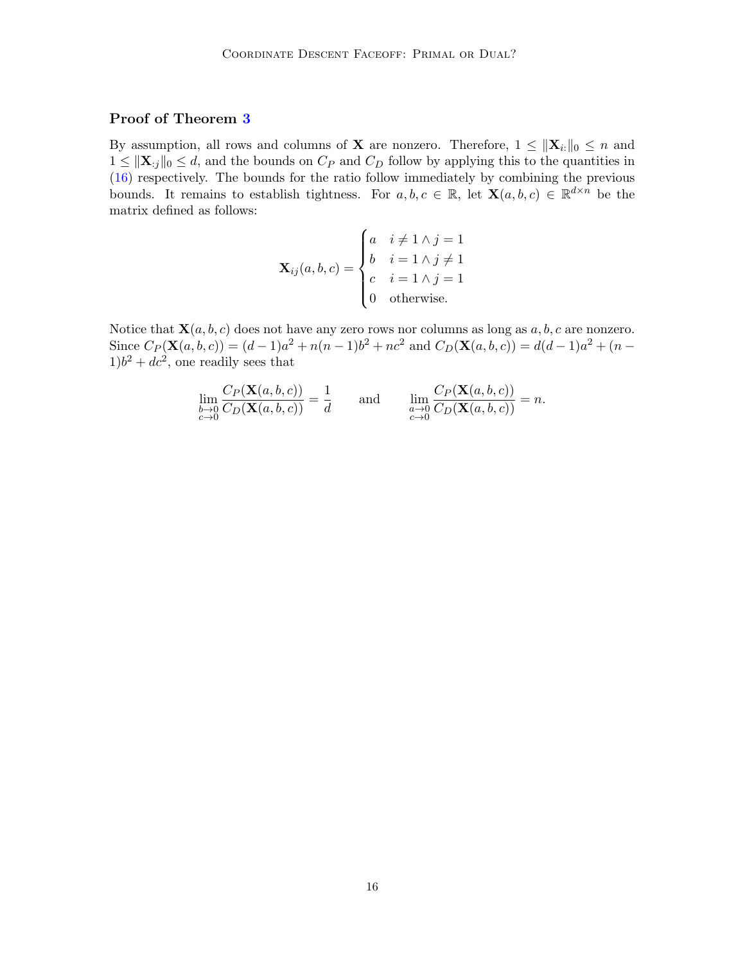## Proof of Theorem [3](#page-7-0)

By assumption, all rows and columns of **X** are nonzero. Therefore,  $1 \le ||\mathbf{X}_{i:}||_{0} \le n$  and  $1 \leq ||\mathbf{X}_{:j}||_0 \leq d$ , and the bounds on  $C_P$  and  $C_D$  follow by applying this to the quantities in [\(16\)](#page-6-3) respectively. The bounds for the ratio follow immediately by combining the previous bounds. It remains to establish tightness. For  $a, b, c \in \mathbb{R}$ , let  $\mathbf{X}(a, b, c) \in \mathbb{R}^{d \times n}$  be the matrix defined as follows:

$$
\mathbf{X}_{ij}(a,b,c) = \begin{cases} a & i \neq 1 \land j = 1 \\ b & i = 1 \land j \neq 1 \\ c & i = 1 \land j = 1 \\ 0 & \text{otherwise.} \end{cases}
$$

Notice that  $\mathbf{X}(a, b, c)$  does not have any zero rows nor columns as long as  $a, b, c$  are nonzero. Since  $C_P(\mathbf{X}(a, b, c)) = (d-1)a^2 + n(n-1)b^2 + nc^2$  and  $C_D(\mathbf{X}(a, b, c)) = d(d-1)a^2 + (n-1)c^2$  $1)b^2 + dc^2$ , one readily sees that

$$
\lim_{\substack{b \to 0 \\ c \to 0}} \frac{C_P(\mathbf{X}(a,b,c))}{C_D(\mathbf{X}(a,b,c))} = \frac{1}{d} \quad \text{and} \quad \lim_{\substack{a \to 0 \\ c \to 0}} \frac{C_P(\mathbf{X}(a,b,c))}{C_D(\mathbf{X}(a,b,c))} = n.
$$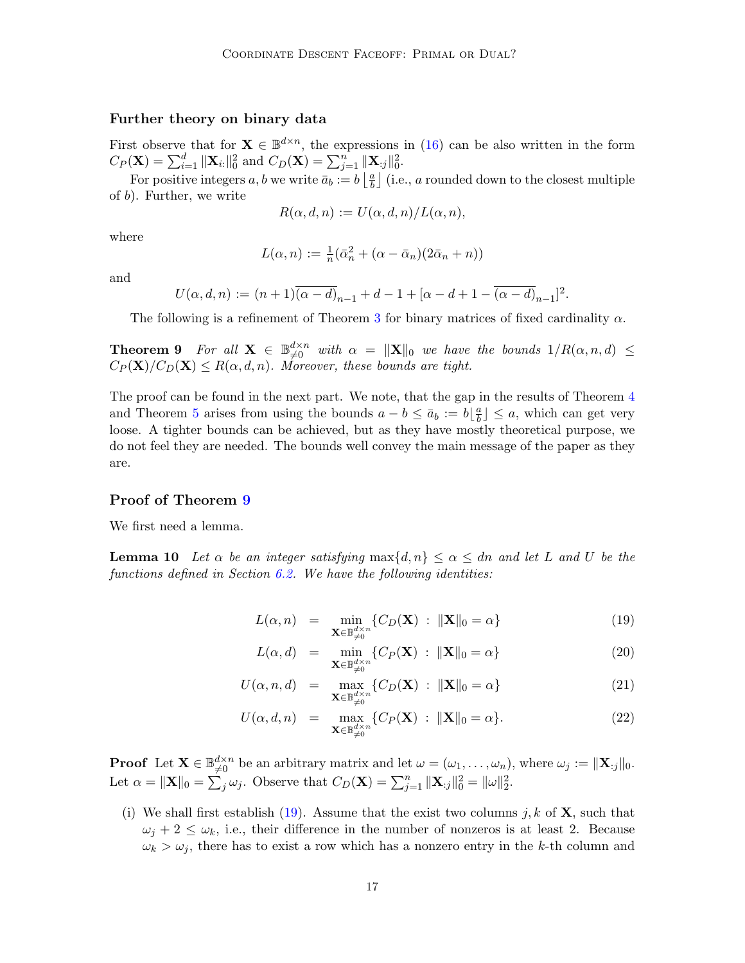### Further theory on binary data

First observe that for  $\mathbf{X} \in \mathbb{B}^{d \times n}$ , the expressions in [\(16\)](#page-6-3) can be also written in the form  $C_P(\mathbf{X}) = \sum_{i=1}^d ||\mathbf{X}_{i:}||_0^2$  and  $C_D(\mathbf{X}) = \sum_{j=1}^n ||\mathbf{X}_{:j}||_0^2$ .

For positive integers a, b we write  $\bar{a}_b := b \left| \frac{a}{b} \right|$  $\frac{a}{b}$ ] (i.e., *a* rounded down to the closest multiple of b). Further, we write

$$
R(\alpha, d, n) := U(\alpha, d, n) / L(\alpha, n),
$$

where

$$
L(\alpha, n) := \frac{1}{n} (\bar{\alpha}_n^2 + (\alpha - \bar{\alpha}_n)(2\bar{\alpha}_n + n))
$$

and

$$
U(\alpha, d, n) := (n+1)\overline{(\alpha - d)}_{n-1} + d - 1 + [\alpha - d + 1 - \overline{(\alpha - d)}_{n-1}]^2.
$$

The following is a refinement of Theorem [3](#page-7-0) for binary matrices of fixed cardinality  $\alpha$ .

<span id="page-16-0"></span>**Theorem 9** For all  $X \in \mathbb{B}_{\neq 0}^{d \times n}$  with  $\alpha = ||X||_0$  we have the bounds  $1/R(\alpha, n, d) \le$  $C_P(\mathbf{X})/C_D(\mathbf{X}) \leq R(\alpha, d, n)$ . Moreover, these bounds are tight.

The proof can be found in the next part. We note, that the gap in the results of Theorem [4](#page-7-2) and Theorem [5](#page-7-1) arises from using the bounds  $a - b \leq \bar{a}_b := b \lfloor \frac{a}{b} \rfloor$  $\left[\frac{a}{b}\right] \leq a$ , which can get very loose. A tighter bounds can be achieved, but as they have mostly theoretical purpose, we do not feel they are needed. The bounds well convey the main message of the paper as they are.

### Proof of Theorem [9](#page-16-0)

<span id="page-16-2"></span>We first need a lemma.

**Lemma 10** Let  $\alpha$  be an integer satisfying  $\max\{d, n\} \leq \alpha \leq dn$  and let L and U be the functions defined in Section  $6.2$ . We have the following identities:

<span id="page-16-1"></span>
$$
L(\alpha, n) = \min_{\mathbf{X} \in \mathbb{B}_{\neq 0}^{d \times n}} \{ C_D(\mathbf{X}) : ||\mathbf{X}||_0 = \alpha \}
$$
(19)

$$
L(\alpha, d) = \min_{\mathbf{X} \in \mathbb{B}_{\neq 0}^{d \times n}} \{ C_P(\mathbf{X}) : \|\mathbf{X}\|_0 = \alpha \}
$$
(20)

$$
U(\alpha, n, d) = \max_{\mathbf{X} \in \mathbb{B}_{\neq 0}^{d \times n}} \{ C_D(\mathbf{X}) : \|\mathbf{X}\|_0 = \alpha \}
$$
(21)

$$
U(\alpha, d, n) = \max_{\mathbf{X} \in \mathbb{B}_{\neq 0}^{d \times n}} \{ C_P(\mathbf{X}) : \|\mathbf{X}\|_0 = \alpha \}.
$$
 (22)

**Proof** Let  $\mathbf{X} \in \mathbb{B}_{\neq 0}^{d \times n}$  be an arbitrary matrix and let  $\omega = (\omega_1, \dots, \omega_n)$ , where  $\omega_j := \|\mathbf{X}_{:j}\|_0$ . Let  $\alpha = \|\mathbf{X}\|_0 = \sum_j \omega_j$ . Observe that  $C_D(\mathbf{X}) = \sum_{j=1}^n \|\mathbf{X}_{:j}\|_0^2 = \|\omega\|_2^2$ .

(i) We shall first establish [\(19\)](#page-16-1). Assume that the exist two columns j, k of  $X$ , such that  $\omega_i + 2 \leq \omega_k$ , i.e., their difference in the number of nonzeros is at least 2. Because  $\omega_k > \omega_j$ , there has to exist a row which has a nonzero entry in the k-th column and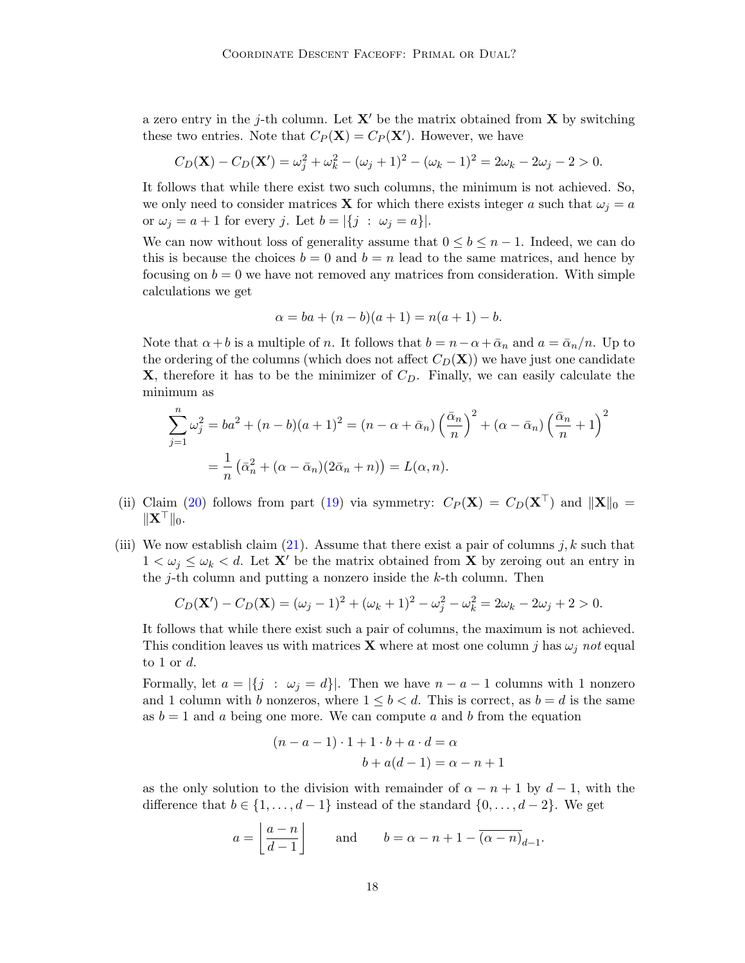a zero entry in the j-th column. Let  $X'$  be the matrix obtained from X by switching these two entries. Note that  $C_P(\mathbf{X}) = C_P(\mathbf{X}')$ . However, we have

$$
C_D(\mathbf{X}) - C_D(\mathbf{X}') = \omega_j^2 + \omega_k^2 - (\omega_j + 1)^2 - (\omega_k - 1)^2 = 2\omega_k - 2\omega_j - 2 > 0.
$$

It follows that while there exist two such columns, the minimum is not achieved. So, we only need to consider matrices **X** for which there exists integer a such that  $\omega_i = a$ or  $\omega_j = a + 1$  for every j. Let  $b = |\{j : \omega_j = a\}|$ .

We can now without loss of generality assume that  $0 \leq b \leq n-1$ . Indeed, we can do this is because the choices  $b = 0$  and  $b = n$  lead to the same matrices, and hence by focusing on  $b = 0$  we have not removed any matrices from consideration. With simple calculations we get

$$
\alpha = ba + (n - b)(a + 1) = n(a + 1) - b.
$$

Note that  $\alpha + b$  is a multiple of n. It follows that  $b = n - \alpha + \bar{\alpha}_n$  and  $a = \bar{\alpha}_n/n$ . Up to the ordering of the columns (which does not affect  $C_D(\mathbf{X})$ ) we have just one candidate  $X$ , therefore it has to be the minimizer of  $C_D$ . Finally, we can easily calculate the minimum as

$$
\sum_{j=1}^{n} \omega_j^2 = ba^2 + (n - b)(a + 1)^2 = (n - \alpha + \bar{\alpha}_n) \left(\frac{\bar{\alpha}_n}{n}\right)^2 + (\alpha - \bar{\alpha}_n) \left(\frac{\bar{\alpha}_n}{n} + 1\right)^2
$$

$$
= \frac{1}{n} \left(\bar{\alpha}_n^2 + (\alpha - \bar{\alpha}_n)(2\bar{\alpha}_n + n)\right) = L(\alpha, n).
$$

- (ii) Claim [\(20\)](#page-16-1) follows from part [\(19\)](#page-16-1) via symmetry:  $C_P(\mathbf{X}) = C_D(\mathbf{X}^{\top})$  and  $||\mathbf{X}||_0 =$  $\|\mathbf{X}^\top\|_0.$
- (iii) We now establish claim [\(21\)](#page-16-1). Assume that there exist a pair of columns j, k such that  $1 < \omega_j \leq \omega_k < d$ . Let X' be the matrix obtained from X by zeroing out an entry in the j-th column and putting a nonzero inside the  $k$ -th column. Then

$$
C_D(\mathbf{X}') - C_D(\mathbf{X}) = (\omega_j - 1)^2 + (\omega_k + 1)^2 - \omega_j^2 - \omega_k^2 = 2\omega_k - 2\omega_j + 2 > 0.
$$

It follows that while there exist such a pair of columns, the maximum is not achieved. This condition leaves us with matrices **X** where at most one column j has  $\omega_j$  not equal to 1 or  $d$ .

Formally, let  $a = |\{j : \omega_j = d\}|$ . Then we have  $n - a - 1$  columns with 1 nonzero and 1 column with b nonzeros, where  $1 \leq b \leq d$ . This is correct, as  $b = d$  is the same as  $b = 1$  and a being one more. We can compute a and b from the equation

$$
(n-a-1) \cdot 1 + 1 \cdot b + a \cdot d = \alpha
$$

$$
b + a(d-1) = \alpha - n + 1
$$

as the only solution to the division with remainder of  $\alpha - n + 1$  by  $d - 1$ , with the difference that  $b \in \{1, \ldots, d-1\}$  instead of the standard  $\{0, \ldots, d-2\}$ . We get

$$
a = \left\lfloor \frac{a-n}{d-1} \right\rfloor \quad \text{and} \quad b = \alpha - n + 1 - \overline{(\alpha - n)}_{d-1}.
$$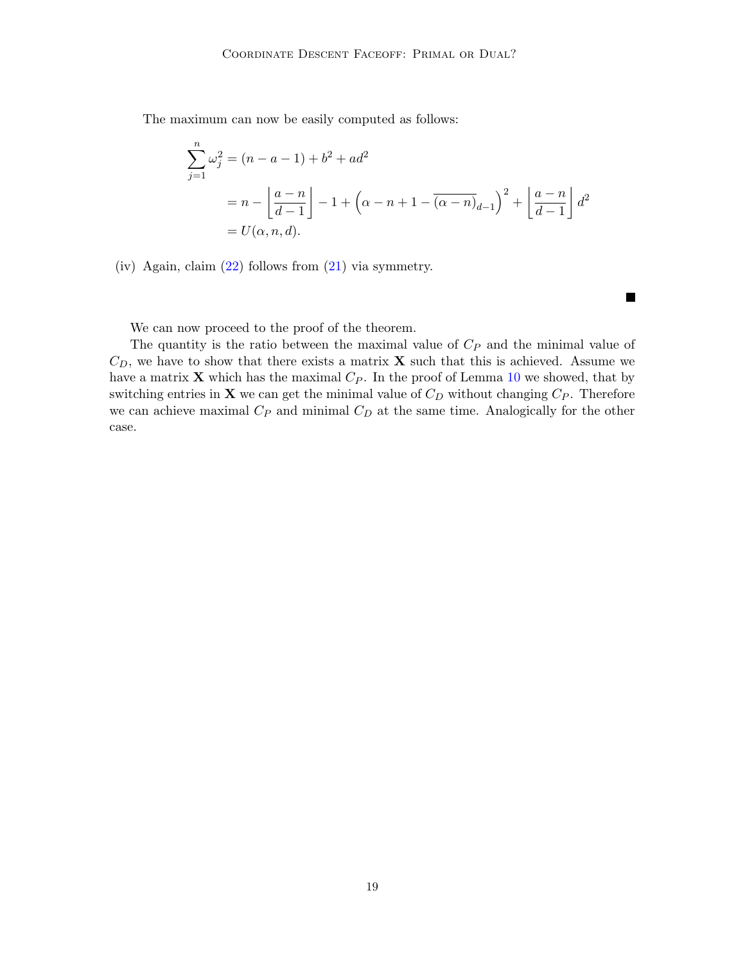The maximum can now be easily computed as follows:

$$
\sum_{j=1}^{n} \omega_j^2 = (n - a - 1) + b^2 + ad^2
$$
  
=  $n - \left[ \frac{a - n}{d - 1} \right] - 1 + \left( \alpha - n + 1 - \overline{(\alpha - n)}_{d - 1} \right)^2 + \left[ \frac{a - n}{d - 1} \right] d^2$   
=  $U(\alpha, n, d)$ .

ш

(iv) Again, claim [\(22\)](#page-16-1) follows from [\(21\)](#page-16-1) via symmetry.

We can now proceed to the proof of the theorem.

The quantity is the ratio between the maximal value of  $C_P$  and the minimal value of  $C_D$ , we have to show that there exists a matrix **X** such that this is achieved. Assume we have a matrix  $X$  which has the maximal  $C_P$ . In the proof of Lemma [10](#page-16-2) we showed, that by switching entries in  $X$  we can get the minimal value of  $C_D$  without changing  $C_P$ . Therefore we can achieve maximal  $C_P$  and minimal  $C_D$  at the same time. Analogically for the other case.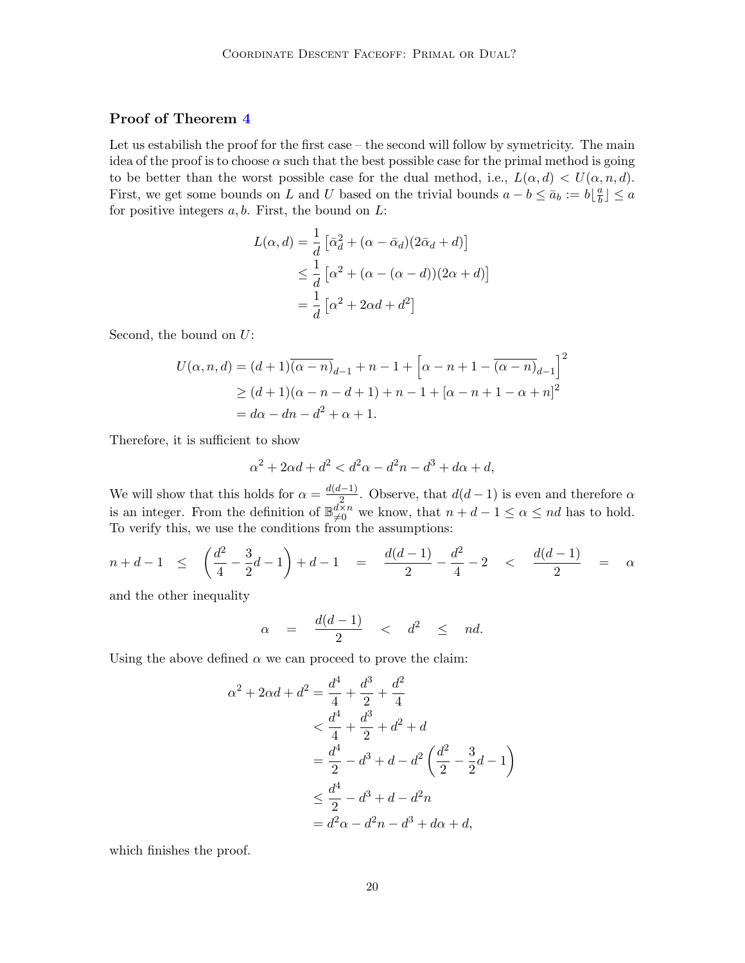## Proof of Theorem [4](#page-7-2)

Let us estabilish the proof for the first case – the second will follow by symetricity. The main idea of the proof is to choose  $\alpha$  such that the best possible case for the primal method is going to be better than the worst possible case for the dual method, i.e.,  $L(\alpha, d) < U(\alpha, n, d)$ . First, we get some bounds on L and U based on the trivial bounds  $a - b \leq \bar{a}_b := b \lfloor \frac{a}{b} \rfloor$  $\frac{a}{b}$   $\leq a$ for positive integers  $a, b$ . First, the bound on  $L$ :

$$
L(\alpha, d) = \frac{1}{d} \left[ \bar{\alpha}_d^2 + (\alpha - \bar{\alpha}_d)(2\bar{\alpha}_d + d) \right]
$$
  

$$
\leq \frac{1}{d} \left[ \alpha^2 + (\alpha - (\alpha - d))(2\alpha + d) \right]
$$
  

$$
= \frac{1}{d} \left[ \alpha^2 + 2\alpha d + d^2 \right]
$$

Second, the bound on  $U$ :

$$
U(\alpha, n, d) = (d+1)\overline{(\alpha - n)}_{d-1} + n - 1 + \left[\alpha - n + 1 - \overline{(\alpha - n)}_{d-1}\right]^2
$$
  
\n
$$
\geq (d+1)(\alpha - n - d + 1) + n - 1 + [\alpha - n + 1 - \alpha + n]^2
$$
  
\n
$$
= d\alpha - dn - d^2 + \alpha + 1.
$$

Therefore, it is sufficient to show

$$
\alpha^2 + 2\alpha d + d^2 < d^2\alpha - d^2n - d^3 + d\alpha + d,
$$

We will show that this holds for  $\alpha = \frac{d(d-1)}{2}$  $\frac{(-1)}{2}$ . Observe, that  $d(d-1)$  is even and therefore  $\alpha$ is an integer. From the definition of  $\mathbb{B}_{\neq 0}^{d \times n}$  we know, that  $n + d - 1 \leq \alpha \leq nd$  has to hold. To verify this, we use the conditions from the assumptions:

$$
n+d-1 \leq \left(\frac{d^2}{4} - \frac{3}{2}d - 1\right) + d - 1 = \frac{d(d-1)}{2} - \frac{d^2}{4} - 2 < \frac{d(d-1)}{2} = \alpha
$$

and the other inequality

$$
\alpha = \frac{d(d-1)}{2} < d^2 \leq nd.
$$

Using the above defined  $\alpha$  we can proceed to prove the claim:

$$
\alpha^{2} + 2\alpha d + d^{2} = \frac{d^{4}}{4} + \frac{d^{3}}{2} + \frac{d^{2}}{4}
$$
  

$$
< \frac{d^{4}}{4} + \frac{d^{3}}{2} + d^{2} + d
$$
  

$$
= \frac{d^{4}}{2} - d^{3} + d - d^{2} \left(\frac{d^{2}}{2} - \frac{3}{2}d - 1\right)
$$
  

$$
\leq \frac{d^{4}}{2} - d^{3} + d - d^{2}n
$$
  

$$
= d^{2}\alpha - d^{2}n - d^{3} + d\alpha + d,
$$

which finishes the proof.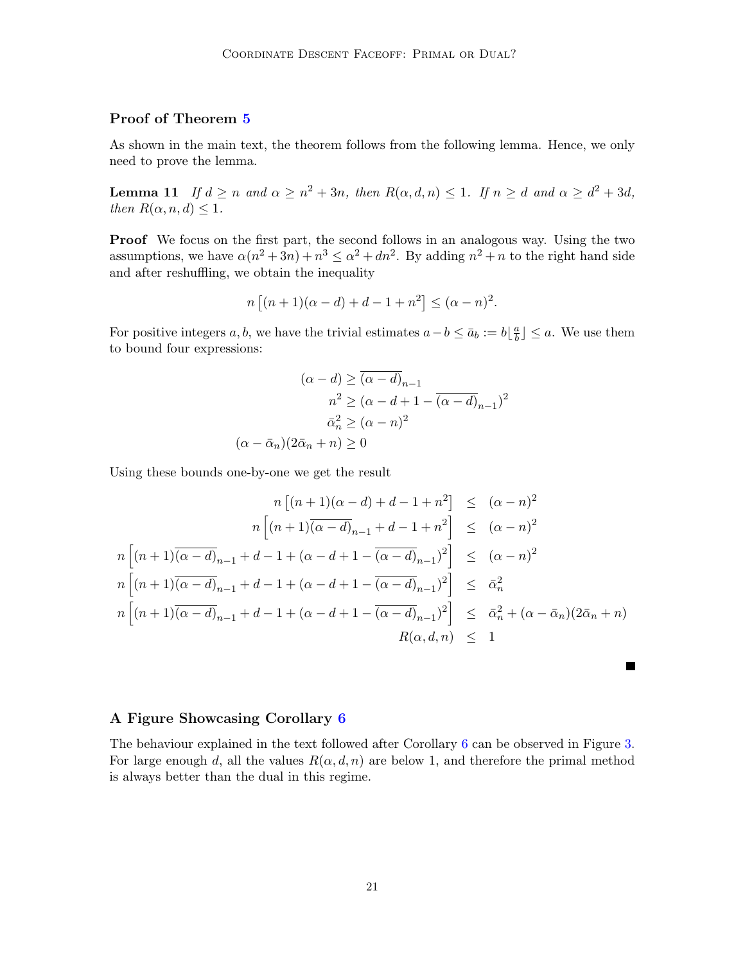## Proof of Theorem [5](#page-7-1)

As shown in the main text, the theorem follows from the following lemma. Hence, we only need to prove the lemma.

**Lemma 11** If  $d \ge n$  and  $\alpha \ge n^2 + 3n$ , then  $R(\alpha, d, n) \le 1$ . If  $n \ge d$  and  $\alpha \ge d^2 + 3d$ , then  $R(\alpha, n, d) \leq 1$ .

Proof We focus on the first part, the second follows in an analogous way. Using the two assumptions, we have  $\alpha(n^2+3n)+n^3 \leq \alpha^2+dn^2$ . By adding  $n^2+n$  to the right hand side and after reshuffling, we obtain the inequality

$$
n [(n + 1)(\alpha - d) + d - 1 + n^2] \leq (\alpha - n)^2.
$$

For positive integers a, b, we have the trivial estimates  $a - b \leq \bar{a}_b := b \lfloor \frac{a}{b} \rfloor$  $\left(\frac{a}{b}\right) \leq a$ . We use them to bound four expressions:

$$
(\alpha - d) \geq \overline{(\alpha - d)}_{n-1}
$$

$$
n^2 \geq (\alpha - d + 1 - \overline{(\alpha - d)}_{n-1})^2
$$

$$
\overline{\alpha}_n^2 \geq (\alpha - n)^2
$$

$$
(\alpha - \overline{\alpha}_n)(2\overline{\alpha}_n + n) \geq 0
$$

Using these bounds one-by-one we get the result

$$
n [(n + 1)(\alpha - d) + d - 1 + n^{2}] \leq (\alpha - n)^{2}
$$
  
\n
$$
n [(n + 1)(\alpha - d)_{n-1} + d - 1 + n^{2}] \leq (\alpha - n)^{2}
$$
  
\n
$$
n [(n + 1)(\alpha - d)_{n-1} + d - 1 + (\alpha - d + 1 - (\alpha - d)_{n-1})^{2}] \leq (\alpha - n)^{2}
$$
  
\n
$$
n [(n + 1)(\alpha - d)_{n-1} + d - 1 + (\alpha - d + 1 - (\alpha - d)_{n-1})^{2}] \leq \bar{\alpha}_{n}^{2}
$$
  
\n
$$
n [(n + 1)(\alpha - d)_{n-1} + d - 1 + (\alpha - d + 1 - (\alpha - d)_{n-1})^{2}] \leq \bar{\alpha}_{n}^{2} + (\alpha - \bar{\alpha}_{n})(2\bar{\alpha}_{n} + n)
$$
  
\n
$$
R(\alpha, d, n) \leq 1
$$

#### A Figure Showcasing Corollary [6](#page-7-4)

The behaviour explained in the text followed after Corollary [6](#page-7-4) can be observed in Figure [3.](#page-21-1) For large enough d, all the values  $R(\alpha, d, n)$  are below 1, and therefore the primal method is always better than the dual in this regime.

 $\blacksquare$